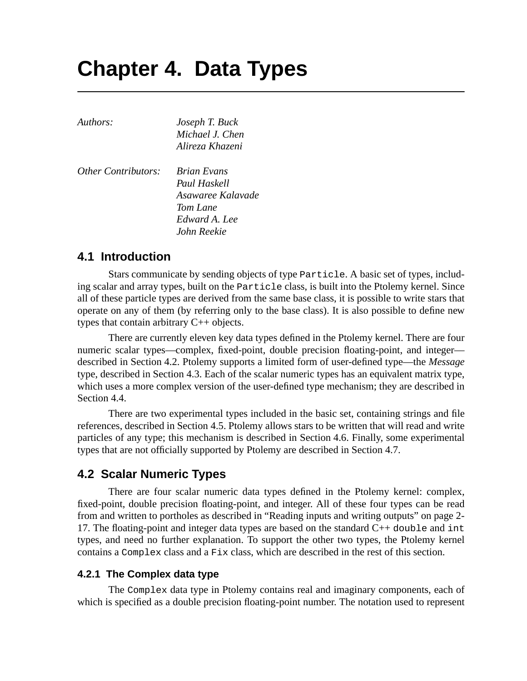# **Chapter 4. Data Types**

| Authors:                   | Joseph T. Buck     |
|----------------------------|--------------------|
|                            | Michael J. Chen    |
|                            | Alireza Khazeni    |
| <i>Other Contributors:</i> | <b>Brian Evans</b> |
|                            | Paul Haskell       |
|                            | Asawaree Kalavade  |
|                            | Tom Lane           |
|                            | Edward A. Lee      |
|                            | John Reekie        |

# **4.1 Introduction**

Stars communicate by sending objects of type Particle. A basic set of types, including scalar and array types, built on the Particle class, is built into the Ptolemy kernel. Since all of these particle types are derived from the same base class, it is possible to write stars that operate on any of them (by referring only to the base class). It is also possible to define new types that contain arbitrary C++ objects.

There are currently eleven key data types defined in the Ptolemy kernel. There are four numeric scalar types—complex, fixed-point, double precision floating-point, and integer described in Section 4.2. Ptolemy supports a limited form of user-defined type—the *Message* type, described in Section 4.3. Each of the scalar numeric types has an equivalent matrix type, which uses a more complex version of the user-defined type mechanism; they are described in Section 4.4.

There are two experimental types included in the basic set, containing strings and file references, described in Section 4.5. Ptolemy allows stars to be written that will read and write particles of any type; this mechanism is described in Section 4.6. Finally, some experimental types that are not officially supported by Ptolemy are described in Section 4.7.

# **4.2 Scalar Numeric Types**

There are four scalar numeric data types defined in the Ptolemy kernel: complex, fixed-point, double precision floating-point, and integer. All of these four types can be read from and written to portholes as described in "Reading inputs and writing outputs" on page 2- 17. The floating-point and integer data types are based on the standard  $C_{++}$  double and int types, and need no further explanation. To support the other two types, the Ptolemy kernel contains a Complex class and a Fix class, which are described in the rest of this section.

## **4.2.1 The Complex data type**

The Complex data type in Ptolemy contains real and imaginary components, each of which is specified as a double precision floating-point number. The notation used to represent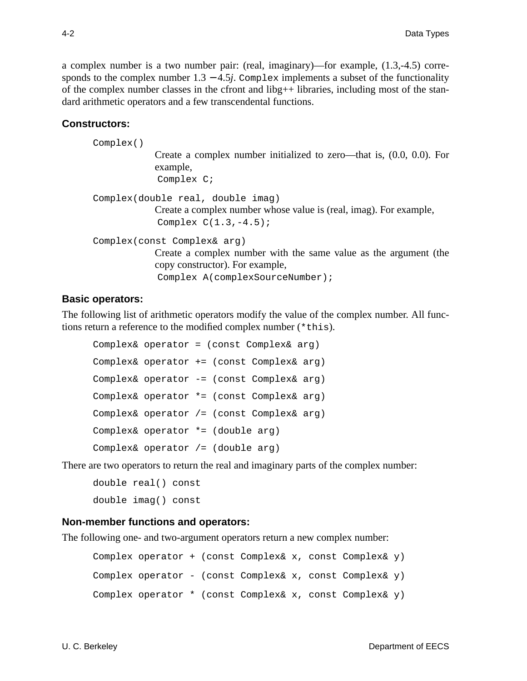a complex number is a two number pair: (real, imaginary)—for example, (1.3,-4.5) corresponds to the complex number  $1.3 - 4.5j$ . Complex implements a subset of the functionality of the complex number classes in the cfront and libg++ libraries, including most of the standard arithmetic operators and a few transcendental functions.

#### **Constructors:**

| Complex() |                                                                                                                                    |
|-----------|------------------------------------------------------------------------------------------------------------------------------------|
|           | Create a complex number initialized to zero—that is, $(0.0, 0.0)$ . For<br>example,                                                |
|           | Complex C;                                                                                                                         |
|           | Complex(double real, double imag)<br>Create a complex number whose value is (real, imag). For example,<br>Complex $C(1.3, -4.5)$ ; |
|           | Complex(const Complex& arg)                                                                                                        |
|           | Create a complex number with the same value as the argument (the                                                                   |
|           | copy constructor). For example,                                                                                                    |
|           | Complex A(complexSourceNumber);                                                                                                    |

#### **Basic operators:**

The following list of arithmetic operators modify the value of the complex number. All functions return a reference to the modified complex number (\*this).

```
Complex& operator = (const Complex& arg)
Complex& operator += (const Complex& arg)
Complex& operator -= (const Complex& arg)
Complex& operator *= (const Complex& arg)
Complex& operator /= (const Complex& arg)
Complex& operator *= (double arg)
Complex& operator /= (double arg)
```
There are two operators to return the real and imaginary parts of the complex number:

```
double real() const
double imag() const
```
#### **Non-member functions and operators:**

The following one- and two-argument operators return a new complex number:

```
Complex operator + (const Complex& x, const Complex& y)
Complex operator - (const Complex& x, const Complex& y)
Complex operator * (const Complex& x, const Complex& y)
```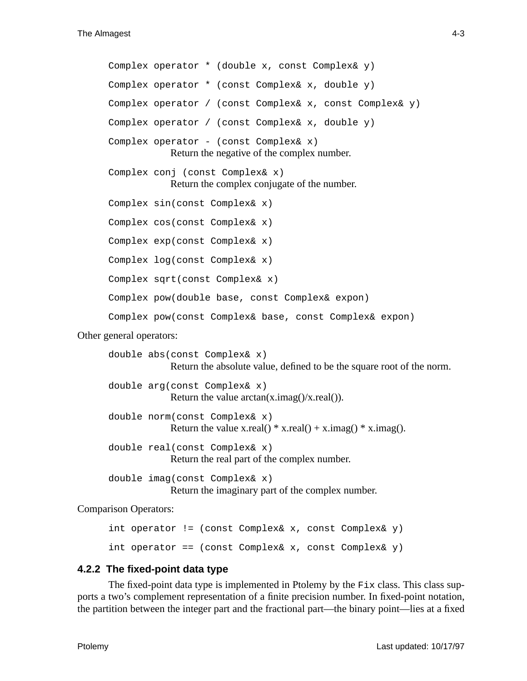Complex operator \* (double x, const Complex& y) Complex operator \* (const Complex& x, double y) Complex operator / (const Complex& x, const Complex& y) Complex operator / (const Complex& x, double y) Complex operator - (const Complex& x) Return the negative of the complex number. Complex conj (const Complex& x) Return the complex conjugate of the number. Complex sin(const Complex& x) Complex cos(const Complex& x) Complex exp(const Complex& x) Complex log(const Complex& x) Complex sqrt(const Complex& x) Complex pow(double base, const Complex& expon) Complex pow(const Complex& base, const Complex& expon)

#### Other general operators:

double abs(const Complex& x) Return the absolute value, defined to be the square root of the norm. double arg(const Complex& x) Return the value  $arctan(x.inag)/(x.read))$ . double norm(const Complex& x) Return the value x.real()  $*$  x.real() + x.imag()  $*$  x.imag(). double real(const Complex& x) Return the real part of the complex number. double imag(const Complex& x)

Return the imaginary part of the complex number.

#### Comparison Operators:

int operator != (const Complex& x, const Complex& y) int operator == (const Complex& x, const Complex& y)

#### **4.2.2 The fixed-point data type**

The fixed-point data type is implemented in Ptolemy by the Fix class. This class supports a two's complement representation of a finite precision number. In fixed-point notation, the partition between the integer part and the fractional part—the binary point—lies at a fixed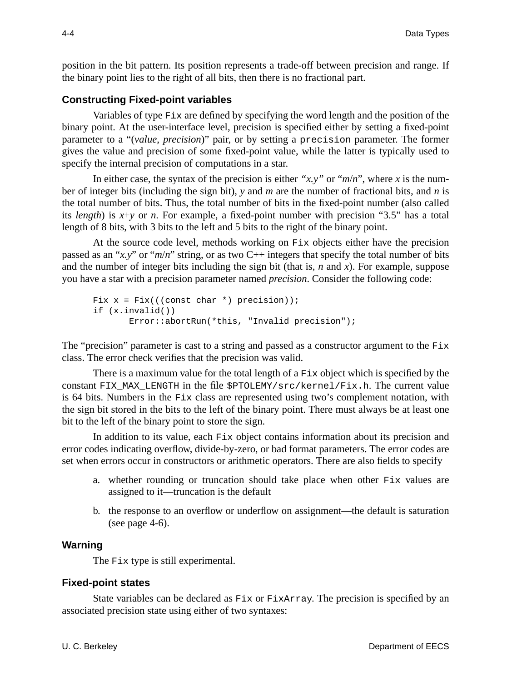position in the bit pattern. Its position represents a trade-off between precision and range. If the binary point lies to the right of all bits, then there is no fractional part.

#### **Constructing Fixed-point variables**

Variables of type Fix are defined by specifying the word length and the position of the binary point. At the user-interface level, precision is specified either by setting a fixed-point parameter to a "(*value*, *precision*)" pair, or by setting a precision parameter. The former gives the value and precision of some fixed-point value, while the latter is typically used to specify the internal precision of computations in a star.

In either case, the syntax of the precision is either " $x, y$ " or " $m/n$ ", where x is the number of integer bits (including the sign bit), *y* and *m* are the number of fractional bits, and *n* is the total number of bits. Thus, the total number of bits in the fixed-point number (also called its *length*) is *x*+*y* or *n*. For example, a fixed-point number with precision "3.5" has a total length of 8 bits, with 3 bits to the left and 5 bits to the right of the binary point.

At the source code level, methods working on Fix objects either have the precision passed as an "*x.y*" or "*m*/*n*" string, or as two C++ integers that specify the total number of bits and the number of integer bits including the sign bit (that is, *n* and *x*). For example, suppose you have a star with a precision parameter named *precision*. Consider the following code:

```
Fix x = Fix(((const char *) precision));
if (x.invalid())
        Error::abortRun(*this, "Invalid precision");
```
The "precision" parameter is cast to a string and passed as a constructor argument to the  $Fix$ class. The error check verifies that the precision was valid.

There is a maximum value for the total length of a Fix object which is specified by the constant FIX\_MAX\_LENGTH in the file \$PTOLEMY/src/kernel/Fix.h. The current value is 64 bits. Numbers in the Fix class are represented using two's complement notation, with the sign bit stored in the bits to the left of the binary point. There must always be at least one bit to the left of the binary point to store the sign.

In addition to its value, each Fix object contains information about its precision and error codes indicating overflow, divide-by-zero, or bad format parameters. The error codes are set when errors occur in constructors or arithmetic operators. There are also fields to specify

- a. whether rounding or truncation should take place when other Fix values are assigned to it—truncation is the default
- b. the response to an overflow or underflow on assignment—the default is saturation (see page  $4-6$ ).

#### **Warning**

The Fix type is still experimental.

#### **Fixed-point states**

State variables can be declared as Fix or FixArray. The precision is specified by an associated precision state using either of two syntaxes: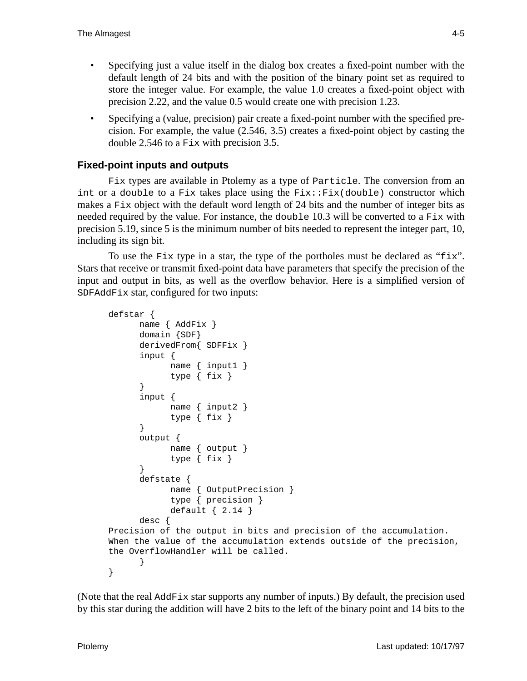- Specifying just a value itself in the dialog box creates a fixed-point number with the default length of 24 bits and with the position of the binary point set as required to store the integer value. For example, the value 1.0 creates a fixed-point object with precision 2.22, and the value 0.5 would create one with precision 1.23.
- Specifying a (value, precision) pair create a fixed-point number with the specified precision. For example, the value (2.546, 3.5) creates a fixed-point object by casting the double 2.546 to a Fix with precision 3.5.

# **Fixed-point inputs and outputs**

Fix types are available in Ptolemy as a type of Particle. The conversion from an int or a double to a Fix takes place using the Fix::Fix(double) constructor which makes a  $Fix$  object with the default word length of 24 bits and the number of integer bits as needed required by the value. For instance, the double 10.3 will be converted to a  $Fix$  with precision 5.19, since 5 is the minimum number of bits needed to represent the integer part, 10, including its sign bit.

To use the Fix type in a star, the type of the portholes must be declared as " $fix$ ". Stars that receive or transmit fixed-point data have parameters that specify the precision of the input and output in bits, as well as the overflow behavior. Here is a simplified version of SDFAddFix star, configured for two inputs:

```
defstar {
      name { AddFix }
      domain {SDF}
      derivedFrom{ SDFFix }
      input {
            name { input1 }
            type { fix }
      }
      input {
            name { input2 }
            type { fix }
      }
      output {
            name { output }
            type { fix }
      }
      defstate {
            name { OutputPrecision }
            type { precision }
            default { 2.14 }
      desc {
Precision of the output in bits and precision of the accumulation.
When the value of the accumulation extends outside of the precision,
the OverflowHandler will be called.
      }
}
```
(Note that the real AddFix star supports any number of inputs.) By default, the precision used by this star during the addition will have 2 bits to the left of the binary point and 14 bits to the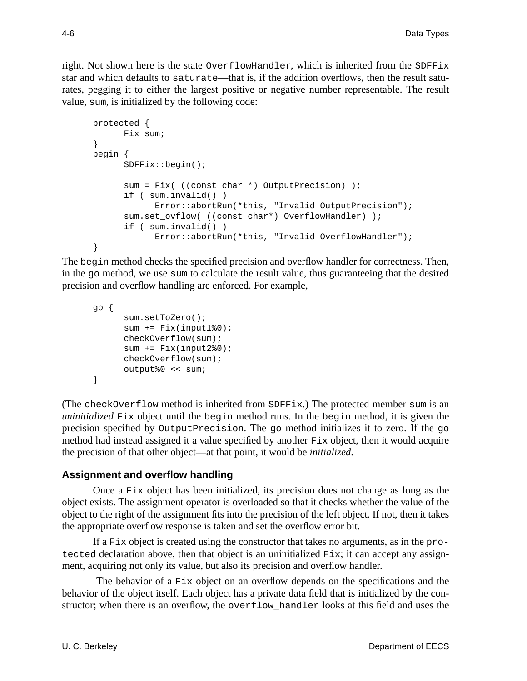right. Not shown here is the state OverflowHandler, which is inherited from the SDFFix star and which defaults to saturate—that is, if the addition overflows, then the result saturates, pegging it to either the largest positive or negative number representable. The result value, sum, is initialized by the following code:

```
protected {
     Fix sum;
}
begin {
      SDFFix::begin();
      sum = Fix( ((const char *) OutputPrecision) );
      if ( sum.invalid() )
            Error::abortRun(*this, "Invalid OutputPrecision");
      sum.set_ovflow( ((const char*) OverflowHandler) );
      if ( sum.invalid() )
            Error::abortRun(*this, "Invalid OverflowHandler");
}
```
The begin method checks the specified precision and overflow handler for correctness. Then, in the go method, we use sum to calculate the result value, thus guaranteeing that the desired precision and overflow handling are enforced. For example,

```
go {
      sum.setToZero();
      sum += Fix(input1%0);checkOverflow(sum);
      sum += Fix(input2%0);
      checkOverflow(sum);
      output%0 << sum;
}
```
(The checkOverflow method is inherited from SDFFix.) The protected member sum is an *uninitialized* Fix object until the begin method runs. In the begin method, it is given the precision specified by OutputPrecision. The go method initializes it to zero. If the go method had instead assigned it a value specified by another  $Fix$  object, then it would acquire the precision of that other object—at that point, it would be *initialized*.

## **Assignment and overflow handling**

Once a Fix object has been initialized, its precision does not change as long as the object exists. The assignment operator is overloaded so that it checks whether the value of the object to the right of the assignment fits into the precision of the left object. If not, then it takes the appropriate overflow response is taken and set the overflow error bit.

If a Fix object is created using the constructor that takes no arguments, as in the protected declaration above, then that object is an uninitialized  $Fix$ ; it can accept any assignment, acquiring not only its value, but also its precision and overflow handler.

 The behavior of a Fix object on an overflow depends on the specifications and the behavior of the object itself. Each object has a private data field that is initialized by the constructor; when there is an overflow, the overflow\_handler looks at this field and uses the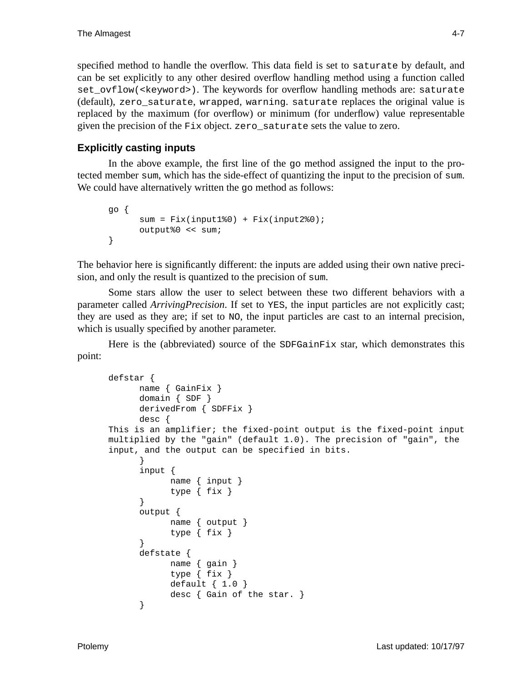specified method to handle the overflow. This data field is set to saturate by default, and can be set explicitly to any other desired overflow handling method using a function called set\_ovflow(<keyword>). The keywords for overflow handling methods are: saturate (default), zero\_saturate, wrapped, warning. saturate replaces the original value is replaced by the maximum (for overflow) or minimum (for underflow) value representable given the precision of the Fix object. zero\_saturate sets the value to zero.

# **Explicitly casting inputs**

In the above example, the first line of the go method assigned the input to the protected member sum, which has the side-effect of quantizing the input to the precision of sum. We could have alternatively written the go method as follows:

```
go {
      sum = Fix(input1%0) + Fix(input2%0);output%0 << sum;
}
```
The behavior here is significantly different: the inputs are added using their own native precision, and only the result is quantized to the precision of sum.

Some stars allow the user to select between these two different behaviors with a parameter called *ArrivingPrecision*. If set to YES, the input particles are not explicitly cast; they are used as they are; if set to NO, the input particles are cast to an internal precision, which is usually specified by another parameter.

Here is the (abbreviated) source of the SDFGainFix star, which demonstrates this point:

```
defstar {
      name { GainFix }
      domain { SDF }
      derivedFrom { SDFFix }
      desc {
This is an amplifier; the fixed-point output is the fixed-point input
multiplied by the "gain" (default 1.0). The precision of "gain", the
input, and the output can be specified in bits.
      }
      input {
            name { input }
            type { fix }
      }
      output {
            name { output }
            type { fix }
      }
      defstate {
            name { gain }
            type { fix }
            default { 1.0 }
            desc { Gain of the star. }
      }
```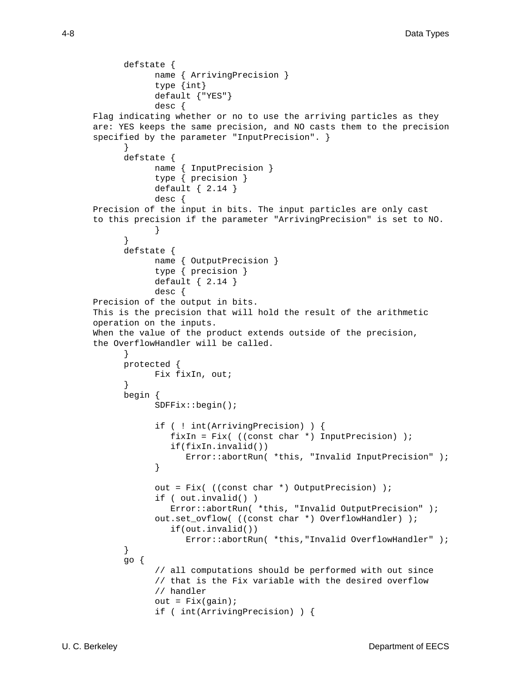```
defstate {
            name { ArrivingPrecision }
            type {int}
            default {"YES"}
            desc {
Flag indicating whether or no to use the arriving particles as they
are: YES keeps the same precision, and NO casts them to the precision
specified by the parameter "InputPrecision". }
      }
      defstate {
            name { InputPrecision }
            type { precision }
            default { 2.14 }
            desc {
Precision of the input in bits. The input particles are only cast
to this precision if the parameter "ArrivingPrecision" is set to NO.
            }
      }
      defstate {
            name { OutputPrecision }
            type { precision }
            default { 2.14 }
            desc {
Precision of the output in bits.
This is the precision that will hold the result of the arithmetic
operation on the inputs.
When the value of the product extends outside of the precision,
the OverflowHandler will be called.
      }
      protected {
           Fix fixIn, out;
      }
      begin {
            SDFFix::begin();
            if ( ! int(ArrivingPrecision) ) {
               fixIn = Fix( ((const char *) InputPrecision) );
               if(fixIn.invalid())
                  Error::abortRun( *this, "Invalid InputPrecision" );
            }
            out = Fix( ((const char *) OutputPrecision) );
            if ( out.invalid() )
               Error::abortRun( *this, "Invalid OutputPrecision" );
            out.set_ovflow( ((const char *) OverflowHandler) );
               if(out.invalid())
                  Error::abortRun( *this,"Invalid OverflowHandler" );
      }
      go {
            // all computations should be performed with out since
            // that is the Fix variable with the desired overflow
            // handler
            out = Fix(qain);
            if ( int(ArrivingPrecision) ) {
```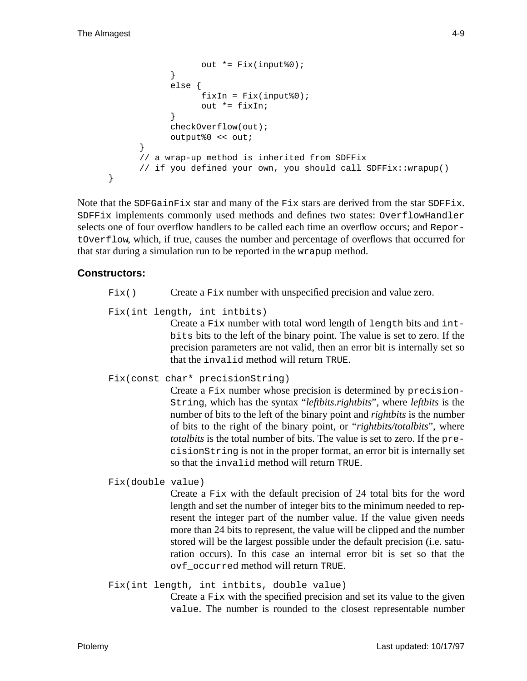```
out *= Fix(input%0);
            }
            else {
                  fixIn = Fix(input*0);out *= fixIn;
            }
            checkOverflow(out);
            output%0 << out;
      }
      // a wrap-up method is inherited from SDFFix
      // if you defined your own, you should call SDFFix::wrapup()
}
```
Note that the SDFGainFix star and many of the Fix stars are derived from the star SDFFix. SDFFix implements commonly used methods and defines two states: OverflowHandler selects one of four overflow handlers to be called each time an overflow occurs; and ReportOverflow, which, if true, causes the number and percentage of overflows that occurred for that star during a simulation run to be reported in the wrapup method.

## **Constructors:**

- $Fix()$  Create a Fix number with unspecified precision and value zero.
- Fix(int length, int intbits)

Create a Fix number with total word length of length bits and intbits bits to the left of the binary point. The value is set to zero. If the precision parameters are not valid, then an error bit is internally set so that the invalid method will return TRUE.

#### Fix(const char\* precisionString)

Create a Fix number whose precision is determined by precision-String, which has the syntax "*leftbits*.*rightbits*", where *leftbits* is the number of bits to the left of the binary point and *rightbits* is the number of bits to the right of the binary point, or "*rightbits/totalbits*", where *totalbits* is the total number of bits. The value is set to zero. If the precisionString is not in the proper format, an error bit is internally set so that the invalid method will return TRUE.

Fix(double value)

Create a Fix with the default precision of 24 total bits for the word length and set the number of integer bits to the minimum needed to represent the integer part of the number value. If the value given needs more than 24 bits to represent, the value will be clipped and the number stored will be the largest possible under the default precision (i.e. saturation occurs). In this case an internal error bit is set so that the ovf\_occurred method will return TRUE.

Fix(int length, int intbits, double value) Create a Fix with the specified precision and set its value to the given value. The number is rounded to the closest representable number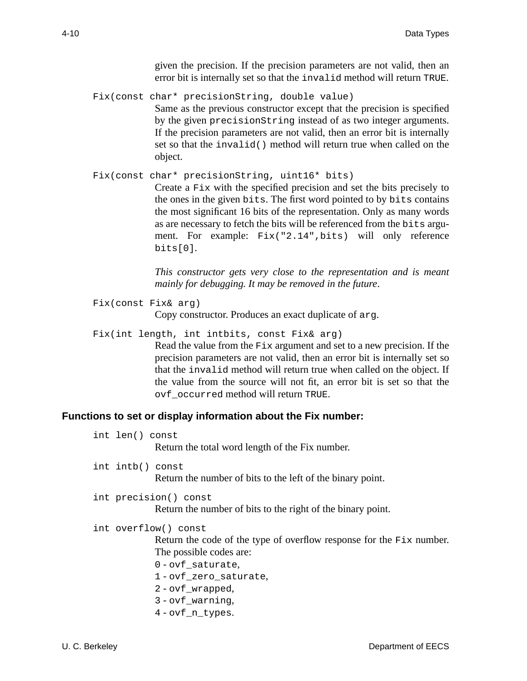given the precision. If the precision parameters are not valid, then an error bit is internally set so that the invalid method will return TRUE.

Fix(const char\* precisionString, double value) Same as the previous constructor except that the precision is specified by the given precisionString instead of as two integer arguments. If the precision parameters are not valid, then an error bit is internally set so that the invalid() method will return true when called on the object.

```
Fix(const char* precisionString, uint16* bits)
```
Create a Fix with the specified precision and set the bits precisely to the ones in the given bits. The first word pointed to by bits contains the most significant 16 bits of the representation. Only as many words as are necessary to fetch the bits will be referenced from the bits argument. For example: Fix("2.14",bits) will only reference bits[0].

*This constructor gets very close to the representation and is meant mainly for debugging. It may be removed in the future*.

```
Fix(const Fix& arg)
             Copy constructor. Produces an exact duplicate of arg.
```
Fix(int length, int intbits, const Fix& arg) Read the value from the Fix argument and set to a new precision. If the precision parameters are not valid, then an error bit is internally set so that the invalid method will return true when called on the object. If the value from the source will not fit, an error bit is set so that the ovf\_occurred method will return TRUE.

#### **Functions to set or display information about the Fix number:**

int len() const

Return the total word length of the Fix number.

int intb() const

Return the number of bits to the left of the binary point.

```
int precision() const
```
Return the number of bits to the right of the binary point.

```
int overflow() const
```
Return the code of the type of overflow response for the Fix number. The possible codes are:

- 0 ovf\_saturate,
- 1 ovf\_zero\_saturate,
- 2 ovf\_wrapped,
- 3 ovf\_warning,
- 4 ovf\_n\_types.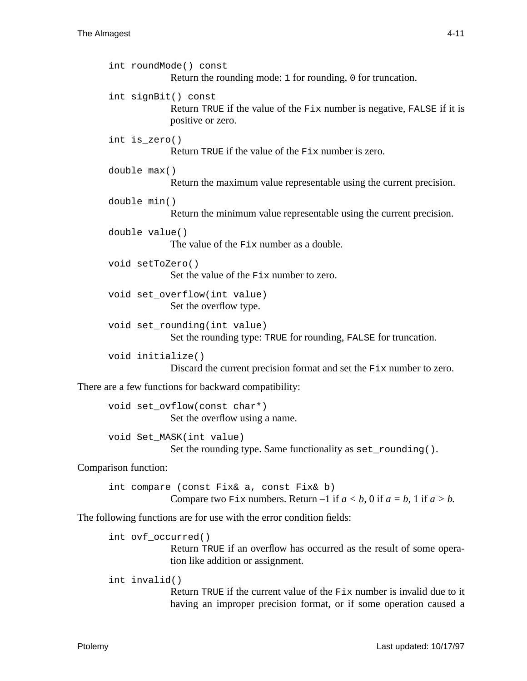```
int roundMode() const
                    Return the rounding mode: 1 for rounding, 0 for truncation.
      int signBit() const
                    Return TRUE if the value of the Fix number is negative, FALSE if it is
                    positive or zero.
      int is_zero()
                    Return TRUE if the value of the Fix number is zero.
      double max()
                    Return the maximum value representable using the current precision.
      double min()
                    Return the minimum value representable using the current precision.
      double value()
                    The value of the Fix number as a double.
      void setToZero()
                    Set the value of the Fix number to zero.
      void set_overflow(int value)
                    Set the overflow type.
      void set_rounding(int value)
                    Set the rounding type: TRUE for rounding, FALSE for truncation.
      void initialize()
                    Discard the current precision format and set the Fix number to zero.
There are a few functions for backward compatibility:
      void set_ovflow(const char*)
                    Set the overflow using a name.
      void Set_MASK(int value)
                    Set the rounding type. Same functionality as set_rounding().
```
Comparison function:

int compare (const Fix& a, const Fix& b) Compare two Fix numbers. Return  $-1$  if  $a < b$ , 0 if  $a = b$ , 1 if  $a > b$ .

The following functions are for use with the error condition fields:

```
int ovf_occurred()
```
Return TRUE if an overflow has occurred as the result of some operation like addition or assignment.

int invalid()

Return TRUE if the current value of the Fix number is invalid due to it having an improper precision format, or if some operation caused a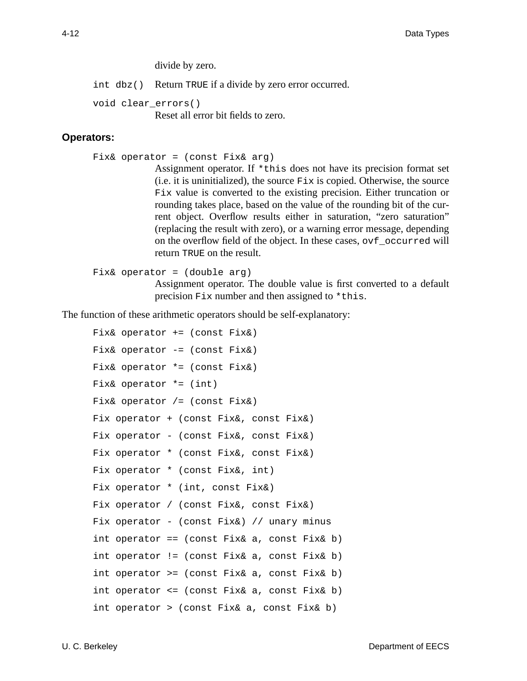divide by zero.

int dbz() Return TRUE if a divide by zero error occurred.

void clear\_errors() Reset all error bit fields to zero.

#### **Operators:**

Fix& operator =  $(const$  Fix& arg)

Assignment operator. If \*this does not have its precision format set  $(i.e. it is uninitialized), the source  $Fix$  is copied. Otherwise, the source$ Fix value is converted to the existing precision. Either truncation or rounding takes place, based on the value of the rounding bit of the current object. Overflow results either in saturation, "zero saturation" (replacing the result with zero), or a warning error message, depending on the overflow field of the object. In these cases, ovf\_occurred will return TRUE on the result.

```
Fix& operator = (double arg)
```
Assignment operator. The double value is first converted to a default precision Fix number and then assigned to \*this.

The function of these arithmetic operators should be self-explanatory:

```
Fix& operator += (const Fix&)
Fix& operator -= (const Fix&)
Fix& operator *= (const Fix&)
Fix& operator * = (int)Fix& operator /= (const Fix&)
Fix operator + (const Fix&, const Fix&)
Fix operator - (const Fix&, const Fix&)
Fix operator * (const Fix&, const Fix&)
Fix operator * (const Fix&, int)
Fix operator * (int, const Fix&)
Fix operator / (const Fix&, const Fix&)
Fix operator - (const Fix&) // unary minus
int operator == (const Fix& a, const Fix& b)
int operator != (const Fix& a, const Fix& b)
int operator >= (const Fix& a, const Fix& b)
int operator <= (const Fix& a, const Fix& b)
int operator > (const Fix& a, const Fix& b)
```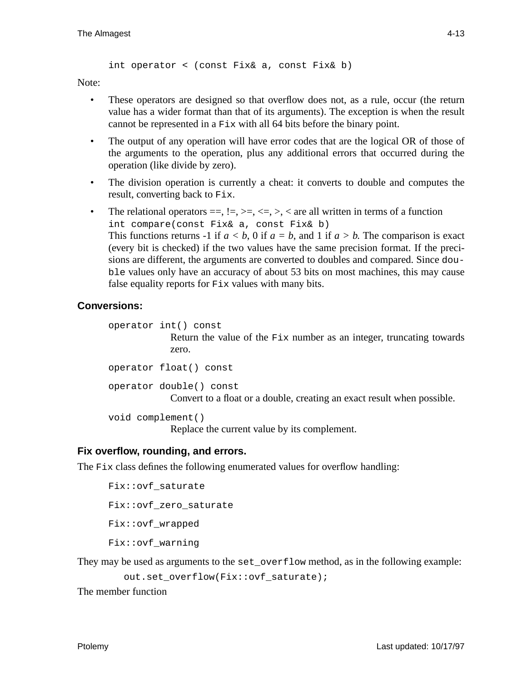int operator < (const Fix& a, const Fix& b)

Note:

- These operators are designed so that overflow does not, as a rule, occur (the return value has a wider format than that of its arguments). The exception is when the result cannot be represented in a Fix with all 64 bits before the binary point.
- The output of any operation will have error codes that are the logical OR of those of the arguments to the operation, plus any additional errors that occurred during the operation (like divide by zero).
- The division operation is currently a cheat: it converts to double and computes the result, converting back to Fix.
- The relational operators  $==, !=, >=, <=, >$ ,  $<$  are all written in terms of a function int compare(const Fix& a, const Fix& b) This functions returns -1 if  $a < b$ , 0 if  $a = b$ , and 1 if  $a > b$ . The comparison is exact (every bit is checked) if the two values have the same precision format. If the precisions are different, the arguments are converted to doubles and compared. Since double values only have an accuracy of about 53 bits on most machines, this may cause false equality reports for Fix values with many bits.

## **Conversions:**

```
operator int() const
             Return the value of the Fix number as an integer, truncating towards
             zero.
operator float() const
operator double() const
             Convert to a float or a double, creating an exact result when possible.
```
void complement()

Replace the current value by its complement.

#### **Fix overflow, rounding, and errors.**

The  $Fix$  class defines the following enumerated values for overflow handling:

```
Fix::ovf_saturate
Fix::ovf_zero_saturate
Fix::ovf_wrapped
Fix::ovf_warning
```
They may be used as arguments to the set\_overflow method, as in the following example:

out.set overflow(Fix::ovf saturate);

The member function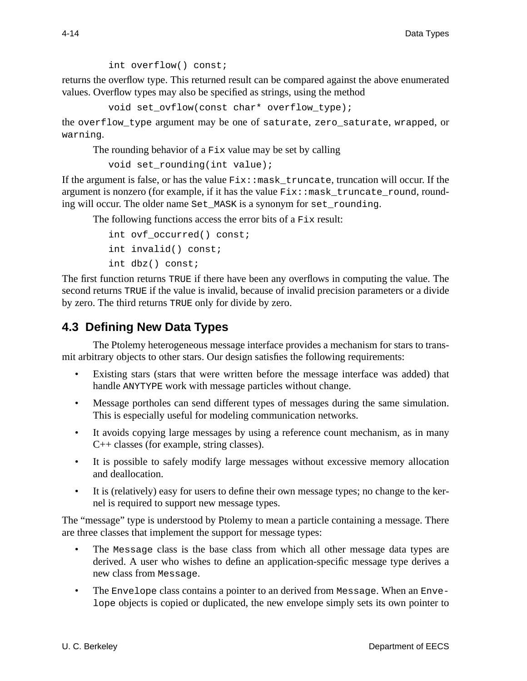int overflow() const;

returns the overflow type. This returned result can be compared against the above enumerated values. Overflow types may also be specified as strings, using the method

void set\_ovflow(const char\* overflow\_type);

the overflow\_type argument may be one of saturate, zero\_saturate, wrapped, or warning.

The rounding behavior of a Fix value may be set by calling

```
void set_rounding(int value);
```
If the argument is false, or has the value  $Fix: :mask\_truncated$ , truncate, truncation will occur. If the argument is nonzero (for example, if it has the value  $Fix: :$  mask\_truncate\_round, rounding will occur. The older name Set MASK is a synonym for set rounding.

The following functions access the error bits of a Fix result:

```
int ovf occurred() const;
int invalid() const;
int dbz() const;
```
The first function returns TRUE if there have been any overflows in computing the value. The second returns TRUE if the value is invalid, because of invalid precision parameters or a divide by zero. The third returns TRUE only for divide by zero.

# **4.3 Defining New Data Types**

The Ptolemy heterogeneous message interface provides a mechanism for stars to transmit arbitrary objects to other stars. Our design satisfies the following requirements:

- Existing stars (stars that were written before the message interface was added) that handle ANYTYPE work with message particles without change.
- Message portholes can send different types of messages during the same simulation. This is especially useful for modeling communication networks.
- It avoids copying large messages by using a reference count mechanism, as in many C++ classes (for example, string classes).
- It is possible to safely modify large messages without excessive memory allocation and deallocation.
- It is (relatively) easy for users to define their own message types; no change to the kernel is required to support new message types.

The "message" type is understood by Ptolemy to mean a particle containing a message. There are three classes that implement the support for message types:

- The Message class is the base class from which all other message data types are derived. A user who wishes to define an application-specific message type derives a new class from Message.
- The Envelope class contains a pointer to an derived from Message. When an Envelope objects is copied or duplicated, the new envelope simply sets its own pointer to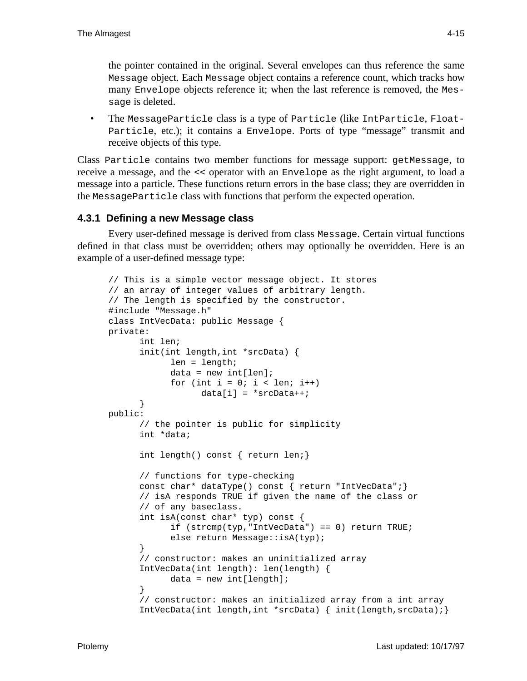the pointer contained in the original. Several envelopes can thus reference the same Message object. Each Message object contains a reference count, which tracks how many Envelope objects reference it; when the last reference is removed, the Message is deleted.

 • The MessageParticle class is a type of Particle (like IntParticle, Float-Particle, etc.); it contains a Envelope. Ports of type "message" transmit and receive objects of this type.

Class Particle contains two member functions for message support: getMessage, to receive a message, and the << operator with an Envelope as the right argument, to load a message into a particle. These functions return errors in the base class; they are overridden in the MessageParticle class with functions that perform the expected operation.

## **4.3.1 Defining a new Message class**

Every user-defined message is derived from class Message. Certain virtual functions defined in that class must be overridden; others may optionally be overridden. Here is an example of a user-defined message type:

```
// This is a simple vector message object. It stores
// an array of integer values of arbitrary length.
// The length is specified by the constructor.
#include "Message.h"
class IntVecData: public Message {
private:
      int len;
      init(int length,int *srcData) {
            len = length;
            data = new int[len];for (int i = 0; i < len; i++)data[i] = *srcData++;}
public:
      // the pointer is public for simplicity
      int *data;
      int length() const { return len;}
      // functions for type-checking
      const char* dataType() const { return "IntVecData";}
      // isA responds TRUE if given the name of the class or
      // of any baseclass.
      int isA(const char* typ) const {
            if (strcmp(typ,"IntVecData") == 0) return TRUE;
            else return Message::isA(typ);
      }
      // constructor: makes an uninitialized array
      IntVecData(int length): len(length) {
            data = new int[length];}
      // constructor: makes an initialized array from a int array
      IntVecData(int length,int *srcData) { init(length,srcData);}
```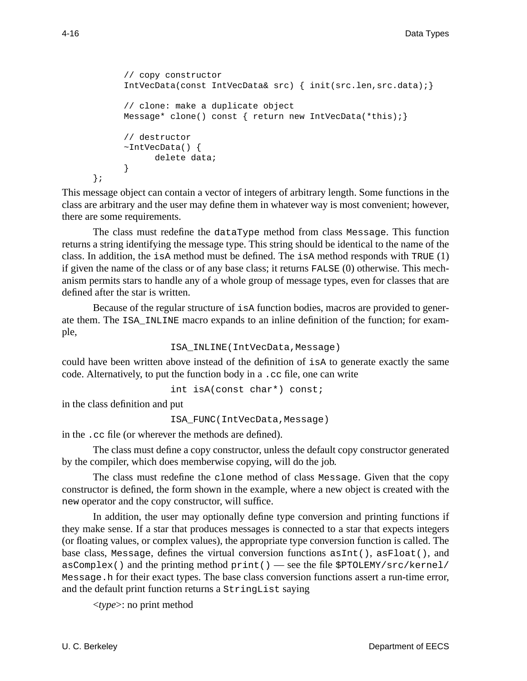```
// copy constructor
IntVecData(const IntVecData& src) { init(src.len,src.data);}
// clone: make a duplicate object
Message* clone() const { return new IntVecData(*this);}
// destructor
~\simIntVecData() {
      delete data;
}
```
This message object can contain a vector of integers of arbitrary length. Some functions in the class are arbitrary and the user may define them in whatever way is most convenient; however, there are some requirements.

The class must redefine the dataType method from class Message. This function returns a string identifying the message type. This string should be identical to the name of the class. In addition, the isA method must be defined. The isA method responds with TRUE  $(1)$ if given the name of the class or of any base class; it returns FALSE (0) otherwise. This mechanism permits stars to handle any of a whole group of message types, even for classes that are defined after the star is written.

Because of the regular structure of isA function bodies, macros are provided to generate them. The ISA\_INLINE macro expands to an inline definition of the function; for example,

```
ISA_INLINE(IntVecData,Message)
```
could have been written above instead of the definition of isA to generate exactly the same code. Alternatively, to put the function body in a .cc file, one can write

```
int isA(const char*) const;
```
in the class definition and put

ISA\_FUNC(IntVecData,Message)

in the .cc file (or wherever the methods are defined).

The class must define a copy constructor, unless the default copy constructor generated by the compiler, which does memberwise copying, will do the job.

The class must redefine the clone method of class Message. Given that the copy constructor is defined, the form shown in the example, where a new object is created with the new operator and the copy constructor, will suffice.

In addition, the user may optionally define type conversion and printing functions if they make sense. If a star that produces messages is connected to a star that expects integers (or floating values, or complex values), the appropriate type conversion function is called. The base class, Message, defines the virtual conversion functions asInt(), asFloat(), and  $asComplex()$  and the printing method print() — see the file  $$PTOLEMY/src/kernel/$ Message.h for their exact types. The base class conversion functions assert a run-time error, and the default print function returns a StringList saying

<*type*>: no print method

};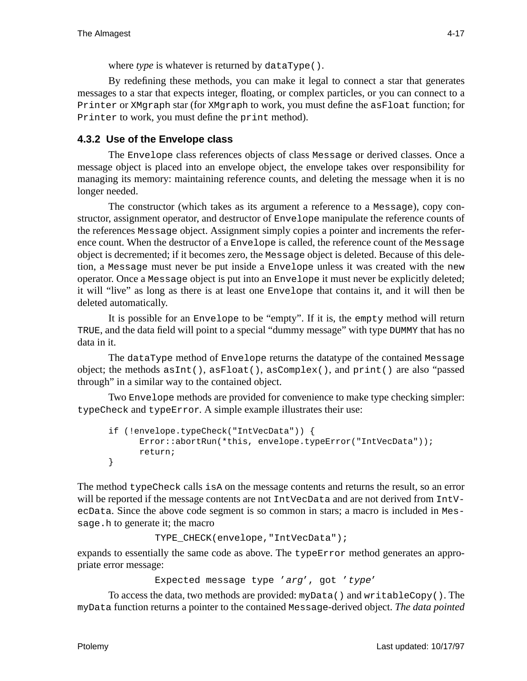where *type* is whatever is returned by dataType().

By redefining these methods, you can make it legal to connect a star that generates messages to a star that expects integer, floating, or complex particles, or you can connect to a Printer or XMgraph star (for XMgraph to work, you must define the asFloat function; for Printer to work, you must define the print method).

# **4.3.2 Use of the Envelope class**

The Envelope class references objects of class Message or derived classes. Once a message object is placed into an envelope object, the envelope takes over responsibility for managing its memory: maintaining reference counts, and deleting the message when it is no longer needed.

The constructor (which takes as its argument a reference to a Message), copy constructor, assignment operator, and destructor of Envelope manipulate the reference counts of the references Message object. Assignment simply copies a pointer and increments the reference count. When the destructor of a Envelope is called, the reference count of the Message object is decremented; if it becomes zero, the Message object is deleted. Because of this deletion, a Message must never be put inside a Envelope unless it was created with the new operator. Once a Message object is put into an Envelope it must never be explicitly deleted; it will "live" as long as there is at least one Envelope that contains it, and it will then be deleted automatically.

It is possible for an Envelope to be "empty". If it is, the empty method will return TRUE, and the data field will point to a special "dummy message" with type DUMMY that has no data in it.

The dataType method of Envelope returns the datatype of the contained Message object; the methods  $asInt()$ ,  $asFloat()$ ,  $asComplex()$ , and  $print()$  are also "passed through" in a similar way to the contained object.

Two Envelope methods are provided for convenience to make type checking simpler: typeCheck and typeError. A simple example illustrates their use:

```
if (!envelope.typeCheck("IntVecData")) {
      Error::abortRun(*this, envelope.typeError("IntVecData"));
      return;
}
```
The method typeCheck calls isA on the message contents and returns the result, so an error will be reported if the message contents are not IntVecData and are not derived from IntVecData. Since the above code segment is so common in stars; a macro is included in Message.h to generate it; the macro

```
TYPE_CHECK(envelope,"IntVecData");
```
expands to essentially the same code as above. The typeError method generates an appropriate error message:

```
Expected message type 'arg', got 'type'
```
To access the data, two methods are provided: myData() and writableCopy(). The myData function returns a pointer to the contained Message-derived object. *The data pointed*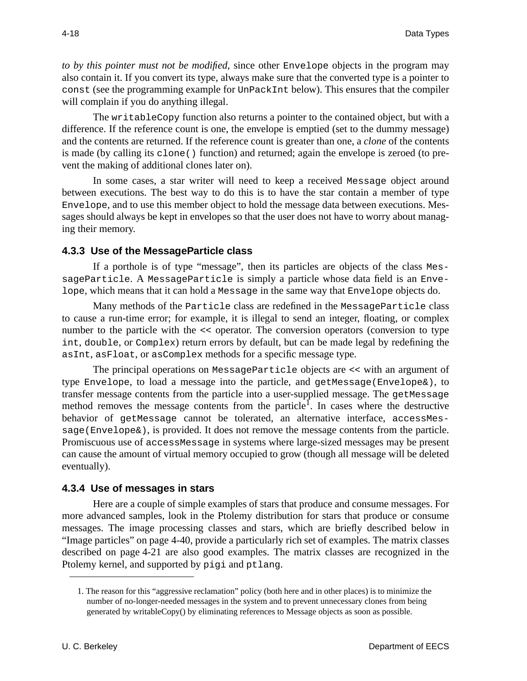*to by this pointer must not be modified*, since other Envelope objects in the program may also contain it. If you convert its type, always make sure that the converted type is a pointer to const (see the programming example for UnPackInt below). This ensures that the compiler will complain if you do anything illegal.

The writableCopy function also returns a pointer to the contained object, but with a difference. If the reference count is one, the envelope is emptied (set to the dummy message) and the contents are returned. If the reference count is greater than one, a *clone* of the contents is made (by calling its clone() function) and returned; again the envelope is zeroed (to prevent the making of additional clones later on).

In some cases, a star writer will need to keep a received Message object around between executions. The best way to do this is to have the star contain a member of type Envelope, and to use this member object to hold the message data between executions. Messages should always be kept in envelopes so that the user does not have to worry about managing their memory.

## **4.3.3 Use of the MessageParticle class**

If a porthole is of type "message", then its particles are objects of the class MessageParticle. A MessageParticle is simply a particle whose data field is an Envelope, which means that it can hold a Message in the same way that Envelope objects do.

Many methods of the Particle class are redefined in the MessageParticle class to cause a run-time error; for example, it is illegal to send an integer, floating, or complex number to the particle with the << operator. The conversion operators (conversion to type int, double, or Complex) return errors by default, but can be made legal by redefining the asInt, asFloat, or asComplex methods for a specific message type.

The principal operations on MessageParticle objects are << with an argument of type Envelope, to load a message into the particle, and getMessage(Envelope&), to transfer message contents from the particle into a user-supplied message. The getMessage method removes the message contents from the particle<sup>1</sup>. In cases where the destructive behavior of getMessage cannot be tolerated, an alternative interface, accessMessage(Envelope&), is provided. It does not remove the message contents from the particle. Promiscuous use of accessMessage in systems where large-sized messages may be present can cause the amount of virtual memory occupied to grow (though all message will be deleted eventually).

## **4.3.4 Use of messages in stars**

Here are a couple of simple examples of stars that produce and consume messages. For more advanced samples, look in the Ptolemy distribution for stars that produce or consume messages. The image processing classes and stars, which are briefly described below in "Image particles" on page 4-40, provide a particularly rich set of examples. The matrix classes described on page 4-21 are also good examples. The matrix classes are recognized in the Ptolemy kernel, and supported by pigi and ptlang.

<sup>1.</sup> The reason for this "aggressive reclamation" policy (both here and in other places) is to minimize the number of no-longer-needed messages in the system and to prevent unnecessary clones from being generated by writableCopy() by eliminating references to Message objects as soon as possible.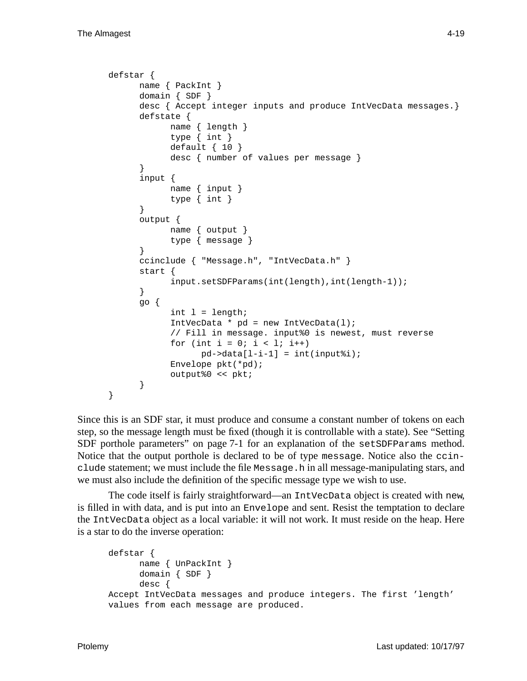```
defstar {
      name { PackInt }
      domain { SDF }
      desc { Accept integer inputs and produce IntVecData messages.}
      defstate {
            name { length }
            type { int }
            default \{ 10 \}desc { number of values per message }
      }
      input {
            name { input }
            type { int }
      }
      output {
            name { output }
            type { message }
      }
      ccinclude { "Message.h", "IntVecData.h" }
      start {
            input.setSDFParams(int(length),int(length-1));
      }
      go {
            int 1 = length;
            IntVecData * pd = new IntVecData(1);
            // Fill in message. input%0 is newest, must reverse
            for (int i = 0; i < 1; i++)pd->data[1-i-1] = int(input%i);
            Envelope pkt(*pd);
            output%0 << pkt;
      }
}
```
Since this is an SDF star, it must produce and consume a constant number of tokens on each step, so the message length must be fixed (though it is controllable with a state). See "Setting SDF porthole parameters" on page 7-1 for an explanation of the setSDFParams method. Notice that the output porthole is declared to be of type message. Notice also the ccinclude statement; we must include the file Message.h in all message-manipulating stars, and we must also include the definition of the specific message type we wish to use.

The code itself is fairly straightforward—an IntVecData object is created with new, is filled in with data, and is put into an Envelope and sent. Resist the temptation to declare the IntVecData object as a local variable: it will not work. It must reside on the heap. Here is a star to do the inverse operation:

```
defstar {
      name { UnPackInt }
      domain { SDF }
      desc {
Accept IntVecData messages and produce integers. The first 'length'
values from each message are produced.
```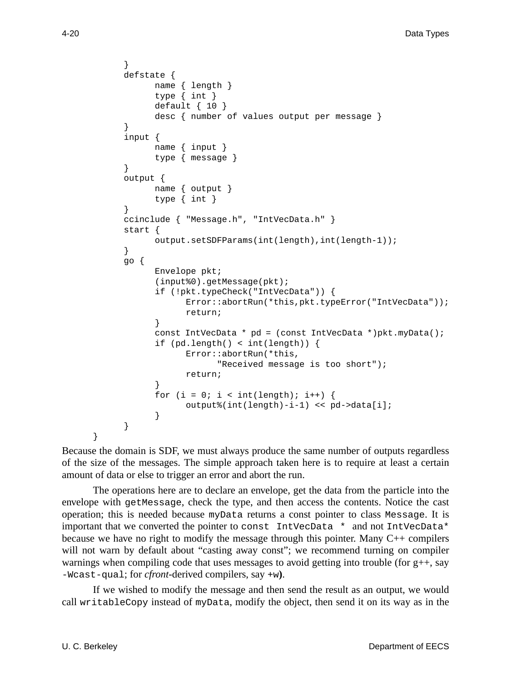```
}
defstate {
      name { length }
      type { int }
      default \{ 10 \}desc { number of values output per message }
}
input {
      name { input }
      type { message }
}
output {
      name { output }
      type { int }
}
ccinclude { "Message.h", "IntVecData.h" }
start {
      output.setSDFParams(int(length),int(length-1));
}
go {
      Envelope pkt;
      (input%0).getMessage(pkt);
      if (!pkt.typeCheck("IntVecData")) {
            Error::abortRun(*this,pkt.typeError("IntVecData"));
            return;
      }
      const IntVecData * pd = (const IntVecData *)pkt.myData();
      if (pd.length() < int(length)) {
            Error::abortRun(*this,
                  "Received message is too short");
            return;
      }
      for (i = 0; i < int(length); i++) {
            output%(int(length)-i-1) << pd->data[i];
      }
}
```
Because the domain is SDF, we must always produce the same number of outputs regardless of the size of the messages. The simple approach taken here is to require at least a certain amount of data or else to trigger an error and abort the run.

The operations here are to declare an envelope, get the data from the particle into the envelope with getMessage, check the type, and then access the contents. Notice the cast operation; this is needed because myData returns a const pointer to class Message. It is important that we converted the pointer to const IntVecData \* and not IntVecData\* because we have no right to modify the message through this pointer. Many  $C_{++}$  compilers will not warn by default about "casting away const"; we recommend turning on compiler warnings when compiling code that uses messages to avoid getting into trouble (for g++, say -Wcast-qual; for *cfront*-derived compilers, say +w**)**.

If we wished to modify the message and then send the result as an output, we would call writableCopy instead of myData, modify the object, then send it on its way as in the

}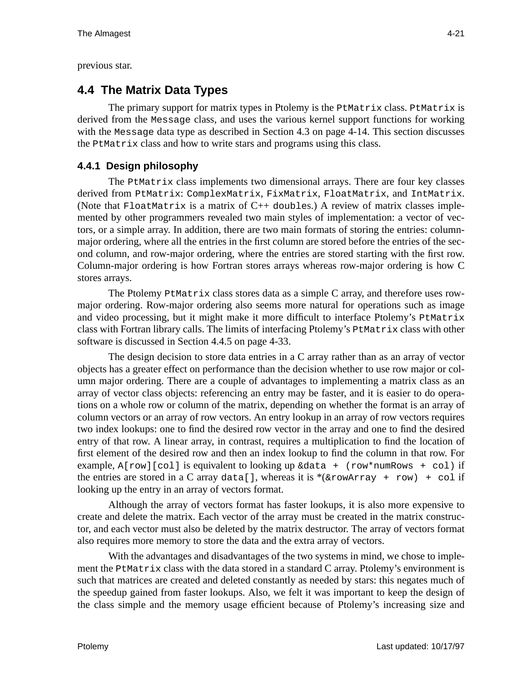previous star.

# **4.4 The Matrix Data Types**

The primary support for matrix types in Ptolemy is the PtMatrix class. PtMatrix is derived from the Message class, and uses the various kernel support functions for working with the Message data type as described in Section 4.3 on page 4-14. This section discusses the PtMatrix class and how to write stars and programs using this class.

# **4.4.1 Design philosophy**

The PtMatrix class implements two dimensional arrays. There are four key classes derived from PtMatrix: ComplexMatrix, FixMatrix, FloatMatrix, and IntMatrix. (Note that  $F$ loatMatrix is a matrix of  $C++$  doubles.) A review of matrix classes implemented by other programmers revealed two main styles of implementation: a vector of vectors, or a simple array. In addition, there are two main formats of storing the entries: columnmajor ordering, where all the entries in the first column are stored before the entries of the second column, and row-major ordering, where the entries are stored starting with the first row. Column-major ordering is how Fortran stores arrays whereas row-major ordering is how C stores arrays.

The Ptolemy PtMatrix class stores data as a simple C array, and therefore uses rowmajor ordering. Row-major ordering also seems more natural for operations such as image and video processing, but it might make it more difficult to interface Ptolemy's PtMatrix class with Fortran library calls. The limits of interfacing Ptolemy's PtMatrix class with other software is discussed in Section 4.4.5 on page 4-33.

The design decision to store data entries in a C array rather than as an array of vector objects has a greater effect on performance than the decision whether to use row major or column major ordering. There are a couple of advantages to implementing a matrix class as an array of vector class objects: referencing an entry may be faster, and it is easier to do operations on a whole row or column of the matrix, depending on whether the format is an array of column vectors or an array of row vectors. An entry lookup in an array of row vectors requires two index lookups: one to find the desired row vector in the array and one to find the desired entry of that row. A linear array, in contrast, requires a multiplication to find the location of first element of the desired row and then an index lookup to find the column in that row. For example,  $A[row][col]$  is equivalent to looking up  $\&data + (row*numRows + col)$  if the entries are stored in a C array data[], whereas it is \*( $&rowArray + row$ ) + col if looking up the entry in an array of vectors format.

Although the array of vectors format has faster lookups, it is also more expensive to create and delete the matrix. Each vector of the array must be created in the matrix constructor, and each vector must also be deleted by the matrix destructor. The array of vectors format also requires more memory to store the data and the extra array of vectors.

With the advantages and disadvantages of the two systems in mind, we chose to implement the PtMatrix class with the data stored in a standard C array. Ptolemy's environment is such that matrices are created and deleted constantly as needed by stars: this negates much of the speedup gained from faster lookups. Also, we felt it was important to keep the design of the class simple and the memory usage efficient because of Ptolemy's increasing size and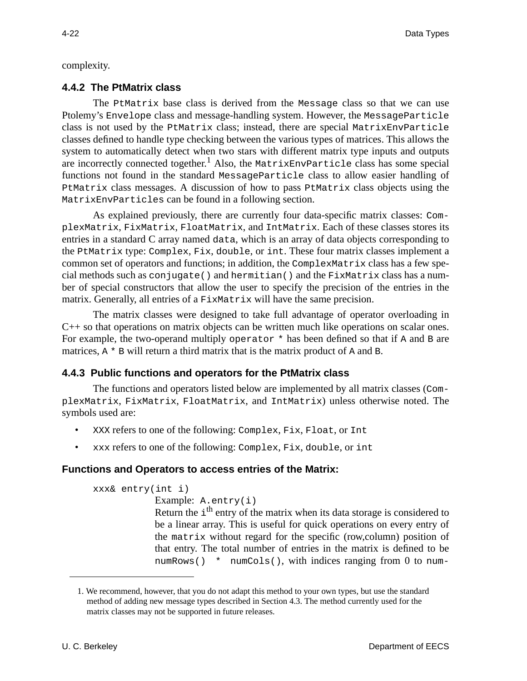complexity.

## **4.4.2 The PtMatrix class**

The PtMatrix base class is derived from the Message class so that we can use Ptolemy's Envelope class and message-handling system. However, the MessageParticle class is not used by the PtMatrix class; instead, there are special MatrixEnvParticle classes defined to handle type checking between the various types of matrices. This allows the system to automatically detect when two stars with different matrix type inputs and outputs are incorrectly connected together.<sup>1</sup> Also, the MatrixEnvParticle class has some special functions not found in the standard MessageParticle class to allow easier handling of PtMatrix class messages. A discussion of how to pass PtMatrix class objects using the MatrixEnvParticles can be found in a following section.

As explained previously, there are currently four data-specific matrix classes: ComplexMatrix, FixMatrix, FloatMatrix, and IntMatrix. Each of these classes stores its entries in a standard C array named data, which is an array of data objects corresponding to the PtMatrix type: Complex, Fix, double, or int. These four matrix classes implement a common set of operators and functions; in addition, the ComplexMatrix class has a few special methods such as conjugate() and hermitian() and the  $FixMatrix$  class has a number of special constructors that allow the user to specify the precision of the entries in the matrix. Generally, all entries of a FixMatrix will have the same precision.

The matrix classes were designed to take full advantage of operator overloading in C++ so that operations on matrix objects can be written much like operations on scalar ones. For example, the two-operand multiply operator  $*$  has been defined so that if A and B are matrices,  $A * B$  will return a third matrix that is the matrix product of A and B.

# **4.4.3 Public functions and operators for the PtMatrix class**

The functions and operators listed below are implemented by all matrix classes (ComplexMatrix, FixMatrix, FloatMatrix, and IntMatrix) unless otherwise noted. The symbols used are:

- XXX refers to one of the following: Complex, Fix, Float, or Int
- xxx refers to one of the following: Complex, Fix, double, or int

## **Functions and Operators to access entries of the Matrix:**

```
xxx& entry(int i)
              Example: A.entry(i)
              Return the i<sup>th</sup> entry of the matrix when its data storage is considered to
              be a linear array. This is useful for quick operations on every entry of
              the matrix without regard for the specific (row,column) position of
              that entry. The total number of entries in the matrix is defined to be
              numRows() * numCols(), with indices ranging from 0 to num-
```
<sup>1.</sup> We recommend, however, that you do not adapt this method to your own types, but use the standard method of adding new message types described in Section 4.3. The method currently used for the matrix classes may not be supported in future releases.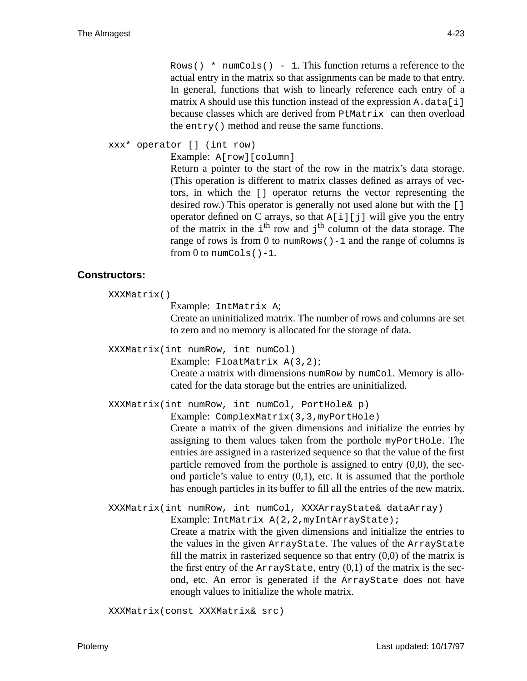xxx\* operator [] (int row)

Example: A[row][column]

Return a pointer to the start of the row in the matrix's data storage. (This operation is different to matrix classes defined as arrays of vectors, in which the [] operator returns the vector representing the desired row.) This operator is generally not used alone but with the [] operator defined on C arrays, so that  $A[i][j]$  will give you the entry of the matrix in the  $i<sup>th</sup>$  row and  $j<sup>th</sup>$  column of the data storage. The range of rows is from 0 to numRows  $() -1$  and the range of columns is from  $0$  to numCols $() -1$ .

#### **Constructors:**

```
XXXMatrix()
```
Example: IntMatrix A;

Create an uninitialized matrix. The number of rows and columns are set to zero and no memory is allocated for the storage of data.

XXXMatrix(int numRow, int numCol)

Example: FloatMatrix A(3,2);

Create a matrix with dimensions numRow by numCol. Memory is allocated for the data storage but the entries are uninitialized.

XXXMatrix(int numRow, int numCol, PortHole& p)

Example: ComplexMatrix(3,3,myPortHole)

Create a matrix of the given dimensions and initialize the entries by assigning to them values taken from the porthole myPortHole. The entries are assigned in a rasterized sequence so that the value of the first particle removed from the porthole is assigned to entry (0,0), the second particle's value to entry  $(0,1)$ , etc. It is assumed that the porthole has enough particles in its buffer to fill all the entries of the new matrix.

XXXMatrix(int numRow, int numCol, XXXArrayState& dataArray) Example: IntMatrix A(2,2, myIntArrayState);

> Create a matrix with the given dimensions and initialize the entries to the values in the given ArrayState. The values of the ArrayState fill the matrix in rasterized sequence so that entry  $(0,0)$  of the matrix is the first entry of the  $ArrayState$ , entry  $(0,1)$  of the matrix is the second, etc. An error is generated if the ArrayState does not have enough values to initialize the whole matrix.

XXXMatrix(const XXXMatrix& src)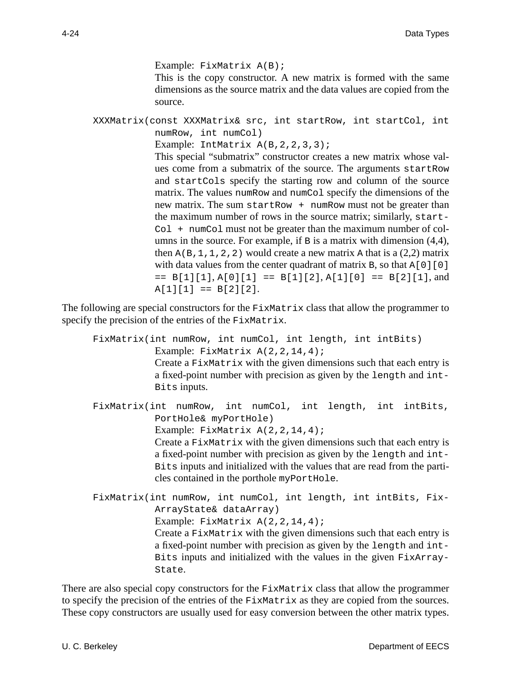Example: FixMatrix A(B); This is the copy constructor. A new matrix is formed with the same dimensions as the source matrix and the data values are copied from the source. XXXMatrix(const XXXMatrix& src, int startRow, int startCol, int numRow, int numCol) Example: IntMatrix A(B,2,2,3,3); This special "submatrix" constructor creates a new matrix whose val-

ues come from a submatrix of the source. The arguments startRow and startCols specify the starting row and column of the source matrix. The values numRow and numCol specify the dimensions of the new matrix. The sum startRow + numRow must not be greater than the maximum number of rows in the source matrix; similarly, start-Col + numCol must not be greater than the maximum number of columns in the source. For example, if  $B$  is a matrix with dimension  $(4,4)$ , then  $A(B,1,1,2,2)$  would create a new matrix A that is a  $(2,2)$  matrix with data values from the center quadrant of matrix B, so that  $A[0][0]$  $=$  B[1][1], A[0][1]  $=$  B[1][2], A[1][0]  $=$  B[2][1], and  $A[1][1] == B[2][2].$ 

The following are special constructors for the FixMatrix class that allow the programmer to specify the precision of the entries of the FixMatrix.

- FixMatrix(int numRow, int numCol, int length, int intBits) Example: FixMatrix  $A(2,2,14,4)$ ; Create a FixMatrix with the given dimensions such that each entry is a fixed-point number with precision as given by the length and int-Bits inputs.
- FixMatrix(int numRow, int numCol, int length, int intBits, PortHole& myPortHole)

Example: FixMatrix A(2,2,14,4);

Create a FixMatrix with the given dimensions such that each entry is a fixed-point number with precision as given by the length and int-Bits inputs and initialized with the values that are read from the particles contained in the porthole myPortHole.

FixMatrix(int numRow, int numCol, int length, int intBits, Fix-ArrayState& dataArray) Example: FixMatrix  $A(2,2,14,4)$ ; Create a FixMatrix with the given dimensions such that each entry is a fixed-point number with precision as given by the length and int-Bits inputs and initialized with the values in the given FixArray-State.

There are also special copy constructors for the FixMatrix class that allow the programmer to specify the precision of the entries of the FixMatrix as they are copied from the sources. These copy constructors are usually used for easy conversion between the other matrix types.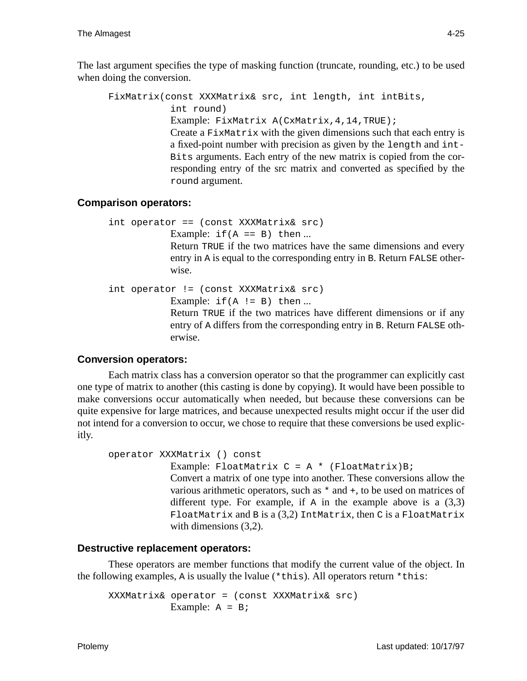The last argument specifies the type of masking function (truncate, rounding, etc.) to be used when doing the conversion.

```
FixMatrix(const XXXMatrix& src, int length, int intBits,
             int round)
             Example: FixMatrix A(CxMatrix, 4, 14, TRUE);
             Create a FixMatrix with the given dimensions such that each entry is
             a fixed-point number with precision as given by the length and int-
             Bits arguments. Each entry of the new matrix is copied from the cor-
             responding entry of the src matrix and converted as specified by the
             round argument.
```
## **Comparison operators:**

```
int operator == (const XXXMatrix& src)
             Example: if(A == B) then ...Return TRUE if the two matrices have the same dimensions and every
             entry in A is equal to the corresponding entry in B. Return FALSE other-
             wise.
int operator != (const XXXMatrix& src)
             Example: if(A := B) then ...Return TRUE if the two matrices have different dimensions or if any
             entry of A differs from the corresponding entry in B. Return FALSE oth-
```
# **Conversion operators:**

erwise.

Each matrix class has a conversion operator so that the programmer can explicitly cast one type of matrix to another (this casting is done by copying). It would have been possible to make conversions occur automatically when needed, but because these conversions can be quite expensive for large matrices, and because unexpected results might occur if the user did not intend for a conversion to occur, we chose to require that these conversions be used explicitly.

```
operator XXXMatrix () const
              Example: FloatMatrix C = A * (FloatMatrix)B;
              Convert a matrix of one type into another. These conversions allow the
              various arithmetic operators, such as * and +, to be used on matrices of
              different type. For example, if \overline{A} in the example above is a (3,3)
              FloatMatrix and B is a (3,2) IntMatrix, then C is a FloatMatrix
              with dimensions (3,2).
```
## **Destructive replacement operators:**

These operators are member functions that modify the current value of the object. In the following examples, A is usually the lvalue (\*this). All operators return \*this:

XXXMatrix& operator = (const XXXMatrix& src) Example:  $A = B$ ;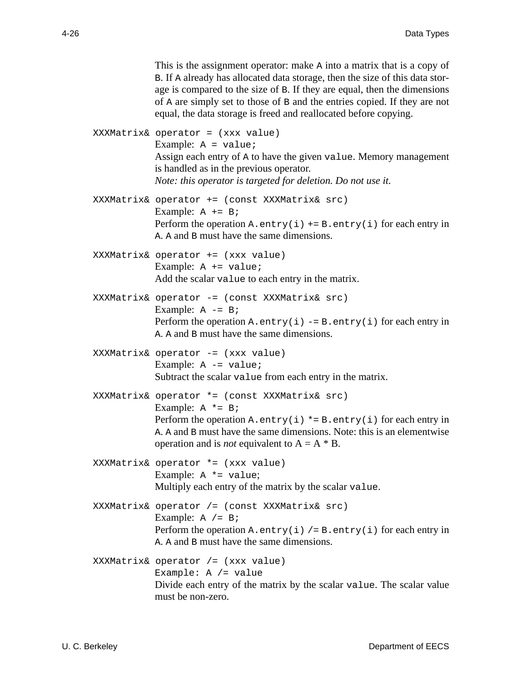|  | This is the assignment operator: make A into a matrix that is a copy of<br>B. If A already has allocated data storage, then the size of this data stor-<br>age is compared to the size of B. If they are equal, then the dimensions<br>of A are simply set to those of B and the entries copied. If they are not<br>equal, the data storage is freed and reallocated before copying. |
|--|--------------------------------------------------------------------------------------------------------------------------------------------------------------------------------------------------------------------------------------------------------------------------------------------------------------------------------------------------------------------------------------|
|  | $XXXMatrix&\n  operator = (xxx value)$<br>Example: $A = value$<br>Assign each entry of A to have the given value. Memory management<br>is handled as in the previous operator.<br>Note: this operator is targeted for deletion. Do not use it.                                                                                                                                       |
|  | XXXMatrix& operator += (const XXXMatrix& src)<br>Example: $A += B$<br>Perform the operation A. entry (i) $+= B$ . entry (i) for each entry in<br>A. A and B must have the same dimensions.                                                                                                                                                                                           |
|  | XXXMatrix& operator += (xxx value)<br>Example: $A += value$<br>Add the scalar value to each entry in the matrix.                                                                                                                                                                                                                                                                     |
|  | XXXMatrix& operator -= (const XXXMatrix& src)<br>Example: $A = B$<br>Perform the operation A. entry(i) $-$ = B. entry(i) for each entry in<br>A. A and B must have the same dimensions.                                                                                                                                                                                              |
|  | XXXMatrix& operator -= (xxx value)<br>Example: $A = value$<br>Subtract the scalar value from each entry in the matrix.                                                                                                                                                                                                                                                               |
|  | XXXMatrix& operator *= (const XXXMatrix& src)<br>Example: $A * = B$<br>Perform the operation A. $entry(i) * = B . entry(i)$ for each entry in<br>A. A and B must have the same dimensions. Note: this is an elementwise<br>operation and is <i>not</i> equivalent to $A = A * B$ .                                                                                                   |
|  | XXXMatrix& operator *= (xxx value)<br>Example: $A * = value;$<br>Multiply each entry of the matrix by the scalar value.                                                                                                                                                                                                                                                              |
|  | XXXMatrix& operator /= (const XXXMatrix& src)<br>Example: $A / = B$<br>Perform the operation A. entry (i) $/ = B$ . entry (i) for each entry in<br>A. A and B must have the same dimensions.                                                                                                                                                                                         |
|  | XXXMatrix& operator /= (xxx value)<br>Example: $A$ /= value<br>Divide each entry of the matrix by the scalar value. The scalar value<br>must be non-zero.                                                                                                                                                                                                                            |
|  |                                                                                                                                                                                                                                                                                                                                                                                      |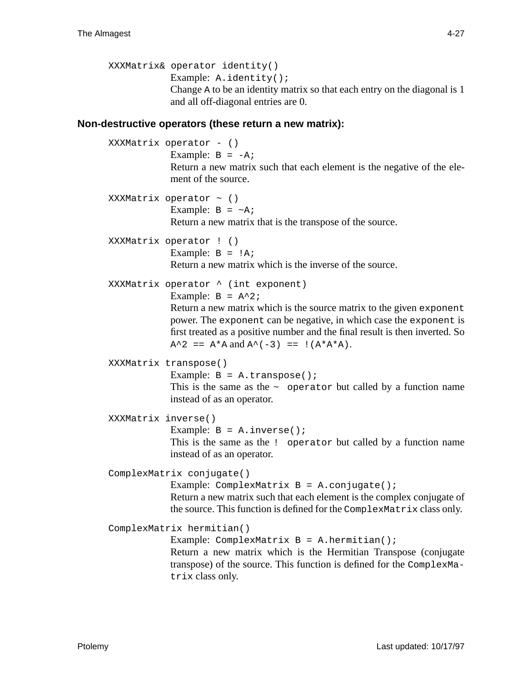```
XXXMatrix& operator identity()
             Example: A.identity();
             Change A to be an identity matrix so that each entry on the diagonal is 1
              and all off-diagonal entries are 0.
```
#### **Non-destructive operators (these return a new matrix):**

```
XXXMatrix operator - ()
             Example: B = -A;
             Return a new matrix such that each element is the negative of the ele-
             ment of the source.
XXXMatrix operator ~ ()
             Example: B = \neg A;
             Return a new matrix that is the transpose of the source.
XXXMatrix operator ! ()
             Example: B = I A;
             Return a new matrix which is the inverse of the source.
XXXMatrix operator ^ (int exponent)
             Example: B = A^2;
             Return a new matrix which is the source matrix to the given exponent
             power. The exponent can be negative, in which case the exponent is
             first treated as a positive number and the final result is then inverted. So
             A^2 = = A^*A and A^(-3) = = : (A^*A^*A).XXXMatrix transpose()
             Example: B = A.transpose();
             This is the same as the \sim operator but called by a function name
             instead of as an operator.
XXXMatrix inverse()
             Example: B = A.inverse();
             This is the same as the ! operator but called by a function name
             instead of as an operator.
ComplexMatrix conjugate()
             Example: ComplexMatrix B = A.conjugate();
             Return a new matrix such that each element is the complex conjugate of
             the source. This function is defined for the ComplexMatrix class only.
ComplexMatrix hermitian()
             Example: ComplexMatrix B = A.hermitian();
             Return a new matrix which is the Hermitian Transpose (conjugate
             transpose) of the source. This function is defined for the ComplexMa-
             trix class only.
```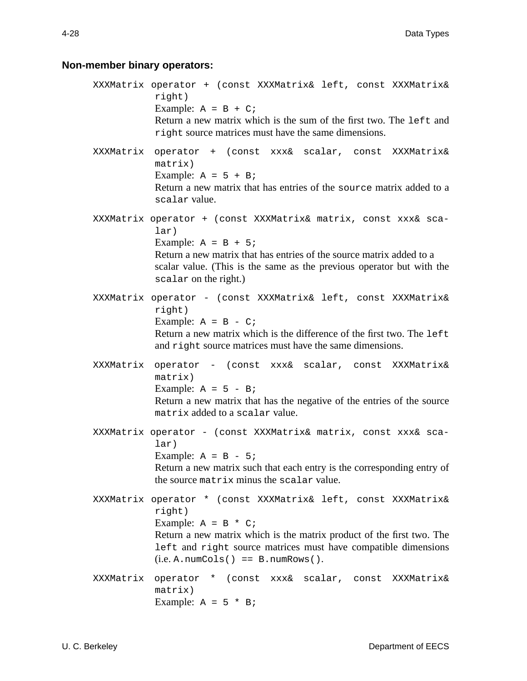# **Non-member binary operators:**

|           | XXXMatrix operator + (const XXXMatrix& left, const XXXMatrix&<br>right)<br>Example: $A = B + C$<br>Return a new matrix which is the sum of the first two. The left and<br>right source matrices must have the same dimensions.                                                    |
|-----------|-----------------------------------------------------------------------------------------------------------------------------------------------------------------------------------------------------------------------------------------------------------------------------------|
|           | XXXMatrix operator + (const xxx& scalar, const XXXMatrix&<br>matrix)<br>Example: $A = 5 + B$<br>Return a new matrix that has entries of the source matrix added to a<br>scalar value.                                                                                             |
|           | XXXMatrix operator + (const XXXMatrix& matrix, const xxx& sca-<br>lar)<br>Example: $A = B + 5i$<br>Return a new matrix that has entries of the source matrix added to a<br>scalar value. (This is the same as the previous operator but with the<br>scalar on the right.)         |
|           | XXXMatrix operator - (const XXXMatrix& left, const XXXMatrix&<br>right)<br>Example: $A = B - C$<br>Return a new matrix which is the difference of the first two. The left<br>and right source matrices must have the same dimensions.                                             |
| XXXMatrix | operator - (const xxx& scalar, const XXXMatrix&<br>matrix)<br>Example: $A = 5 - Bi$<br>Return a new matrix that has the negative of the entries of the source<br>matrix added to a scalar value.                                                                                  |
|           | XXXMatrix operator - (const XXXMatrix& matrix, const xxx& sca-<br>lar)<br>Example: $A = B - 5i$<br>Return a new matrix such that each entry is the corresponding entry of<br>the source matrix minus the scalar value.                                                            |
|           | XXXMatrix operator * (const XXXMatrix& left, const XXXMatrix&<br>right)<br>Example: $A = B * C$<br>Return a new matrix which is the matrix product of the first two. The<br>left and right source matrices must have compatible dimensions<br>$(i.e. A.numCols() == B.numRows().$ |
| XXXMatrix | operator * (const xxx& scalar, const XXXMatrix&<br>matrix)<br>Example: $A = 5 * B$                                                                                                                                                                                                |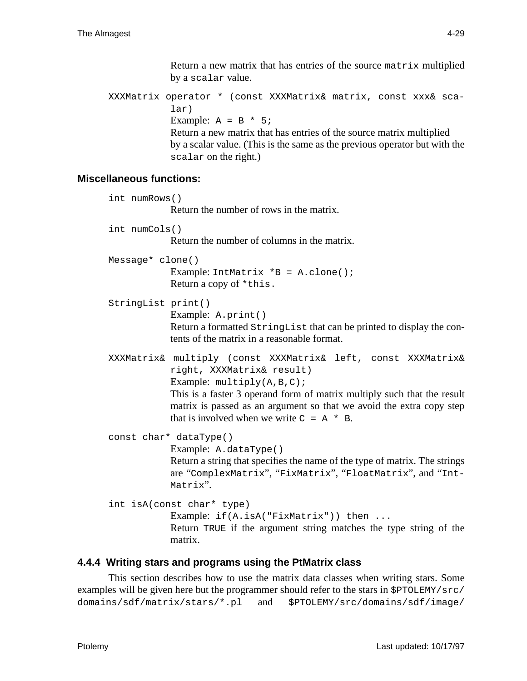Return a new matrix that has entries of the source matrix multiplied by a scalar value.

XXXMatrix operator \* (const XXXMatrix& matrix, const xxx& scalar) Example:  $A = B * 5$ ; Return a new matrix that has entries of the source matrix multiplied by a scalar value. (This is the same as the previous operator but with the scalar on the right.)

## **Miscellaneous functions:**

int numRows() Return the number of rows in the matrix. int numCols() Return the number of columns in the matrix. Message\* clone() Example: IntMatrix \*B = A.clone(); Return a copy of \*this. StringList print() Example: A.print() Return a formatted StringList that can be printed to display the contents of the matrix in a reasonable format. XXXMatrix& multiply (const XXXMatrix& left, const XXXMatrix& right, XXXMatrix& result) Example:  $multiply(A, B, C);$ This is a faster 3 operand form of matrix multiply such that the result matrix is passed as an argument so that we avoid the extra copy step that is involved when we write  $C = A^* R$ . const char\* dataType() Example: A.dataType() Return a string that specifies the name of the type of matrix. The strings are "ComplexMatrix", "FixMatrix", "FloatMatrix", and "Int-Matrix". int isA(const char\* type) Example: if(A.isA("FixMatrix")) then ... Return TRUE if the argument string matches the type string of the matrix.

# **4.4.4 Writing stars and programs using the PtMatrix class**

This section describes how to use the matrix data classes when writing stars. Some examples will be given here but the programmer should refer to the stars in \$PTOLEMY/src/ domains/sdf/matrix/stars/\*.pl and \$PTOLEMY/src/domains/sdf/image/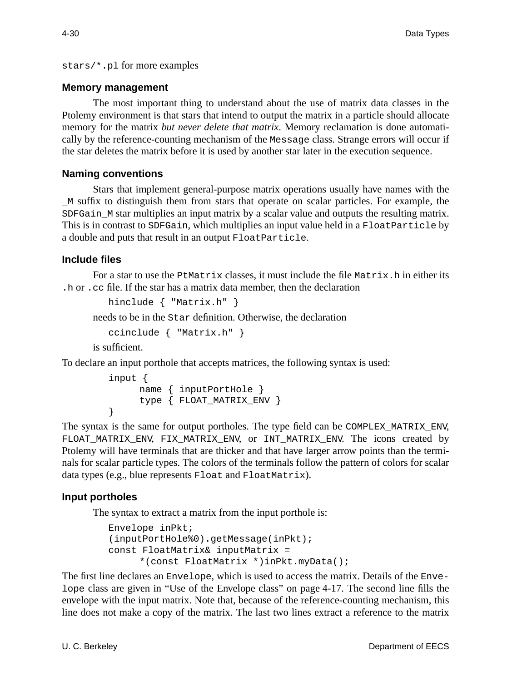stars/\*.pl for more examples

#### **Memory management**

The most important thing to understand about the use of matrix data classes in the Ptolemy environment is that stars that intend to output the matrix in a particle should allocate memory for the matrix *but never delete that matrix*. Memory reclamation is done automatically by the reference-counting mechanism of the Message class. Strange errors will occur if the star deletes the matrix before it is used by another star later in the execution sequence.

## **Naming conventions**

Stars that implement general-purpose matrix operations usually have names with the \_M suffix to distinguish them from stars that operate on scalar particles. For example, the SDFGain M star multiplies an input matrix by a scalar value and outputs the resulting matrix. This is in contrast to SDFGain, which multiplies an input value held in a FloatParticle by a double and puts that result in an output FloatParticle.

#### **Include files**

For a star to use the  $P$ tMatrix classes, it must include the file Matrix.h in either its .h or .cc file. If the star has a matrix data member, then the declaration

```
hinclude { "Matrix.h" }
```
needs to be in the Star definition. Otherwise, the declaration

```
ccinclude { "Matrix.h" }
```
is sufficient.

To declare an input porthole that accepts matrices, the following syntax is used:

```
input {
     name { inputPortHole }
     type { FLOAT_MATRIX_ENV }
}
```
The syntax is the same for output portholes. The type field can be COMPLEX\_MATRIX\_ENV, FLOAT\_MATRIX\_ENV, FIX\_MATRIX\_ENV, or INT\_MATRIX\_ENV. The icons created by Ptolemy will have terminals that are thicker and that have larger arrow points than the terminals for scalar particle types. The colors of the terminals follow the pattern of colors for scalar data types (e.g., blue represents Float and FloatMatrix).

## **Input portholes**

The syntax to extract a matrix from the input porthole is:

```
Envelope inPkt;
(inputPortHole%0).getMessage(inPkt);
const FloatMatrix& inputMatrix =
     *(const FloatMatrix *)inPkt.myData();
```
The first line declares an Envelope, which is used to access the matrix. Details of the Envelope class are given in "Use of the Envelope class" on page 4-17. The second line fills the envelope with the input matrix. Note that, because of the reference-counting mechanism, this line does not make a copy of the matrix. The last two lines extract a reference to the matrix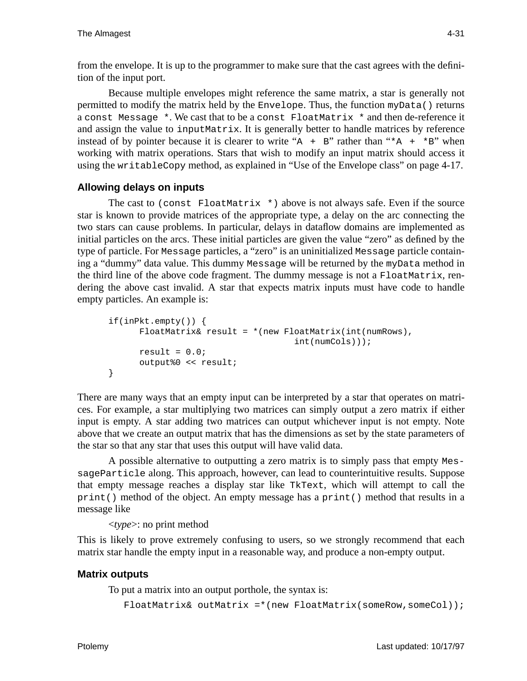from the envelope. It is up to the programmer to make sure that the cast agrees with the definition of the input port.

Because multiple envelopes might reference the same matrix, a star is generally not permitted to modify the matrix held by the Envelope. Thus, the function myData() returns a const Message  $*$ . We cast that to be a const FloatMatrix  $*$  and then de-reference it and assign the value to inputMatrix. It is generally better to handle matrices by reference instead of by pointer because it is clearer to write "A + B" rather than " $*A$  +  $*B$ " when working with matrix operations. Stars that wish to modify an input matrix should access it using the writableCopy method, as explained in "Use of the Envelope class" on page 4-17.

## **Allowing delays on inputs**

The cast to (const FloatMatrix  $*$ ) above is not always safe. Even if the source star is known to provide matrices of the appropriate type, a delay on the arc connecting the two stars can cause problems. In particular, delays in dataflow domains are implemented as initial particles on the arcs. These initial particles are given the value "zero" as defined by the type of particle. For Message particles, a "zero" is an uninitialized Message particle containing a "dummy" data value. This dummy Message will be returned by the myData method in the third line of the above code fragment. The dummy message is not a FloatMatrix, rendering the above cast invalid. A star that expects matrix inputs must have code to handle empty particles. An example is:

```
if(inPkt.empty()) {
      FloatMatrix& result = *(new FloatMatrix(int(numRows)),int(numCols)));
      result = 0.0;
      output%0 << result;
}
```
There are many ways that an empty input can be interpreted by a star that operates on matrices. For example, a star multiplying two matrices can simply output a zero matrix if either input is empty. A star adding two matrices can output whichever input is not empty. Note above that we create an output matrix that has the dimensions as set by the state parameters of the star so that any star that uses this output will have valid data.

A possible alternative to outputting a zero matrix is to simply pass that empty MessageParticle along. This approach, however, can lead to counterintuitive results. Suppose that empty message reaches a display star like TkText, which will attempt to call the print() method of the object. An empty message has a print() method that results in a message like

<*type*>: no print method

This is likely to prove extremely confusing to users, so we strongly recommend that each matrix star handle the empty input in a reasonable way, and produce a non-empty output.

## **Matrix outputs**

To put a matrix into an output porthole, the syntax is:

 $F$ loatMatrix& outMatrix =\*(new FloatMatrix(someRow,someCol));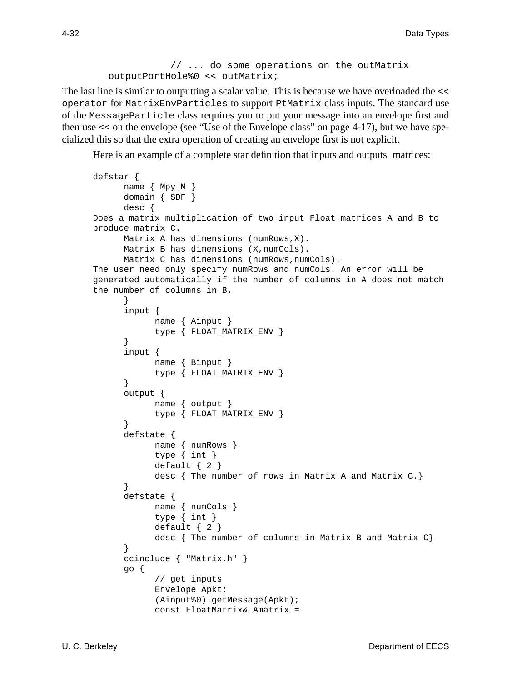```
// ... do some operations on the outMatrix
outputPortHole%0 << outMatrix;
```
The last line is similar to outputting a scalar value. This is because we have overloaded the << operator for MatrixEnvParticles to support PtMatrix class inputs. The standard use of the MessageParticle class requires you to put your message into an envelope first and then use << on the envelope (see "Use of the Envelope class" on page 4-17), but we have specialized this so that the extra operation of creating an envelope first is not explicit.

Here is an example of a complete star definition that inputs and outputs matrices:

```
defstar {
      name { Mpy_M }
      domain { SDF }
      desc {
Does a matrix multiplication of two input Float matrices A and B to
produce matrix C.
      Matrix A has dimensions (numRows,X).
      Matrix B has dimensions (X, numCols).
      Matrix C has dimensions (numRows, numCols).
The user need only specify numRows and numCols. An error will be
generated automatically if the number of columns in A does not match
the number of columns in B.
      }
      input {
            name { Ainput }
            type { FLOAT_MATRIX_ENV }
      }
      input {
            name { Binput }
            type { FLOAT_MATRIX_ENV }
      }
      output {
            name { output }
            type { FLOAT_MATRIX_ENV }
      }
      defstate {
            name { numRows }
            type { int }
            default { 2 }
            desc \{ The number of rows in Matrix A and Matrix C.\}}
      defstate {
            name { numCols }
            type { int }
            default \{ 2 \}desc \{ The number of columns in Matrix B and Matrix C}
      ccinclude { "Matrix.h" }
      go {
            // get inputs
            Envelope Apkt;
            (Ainput%0).getMessage(Apkt);
            const FloatMatrix& Amatrix =
```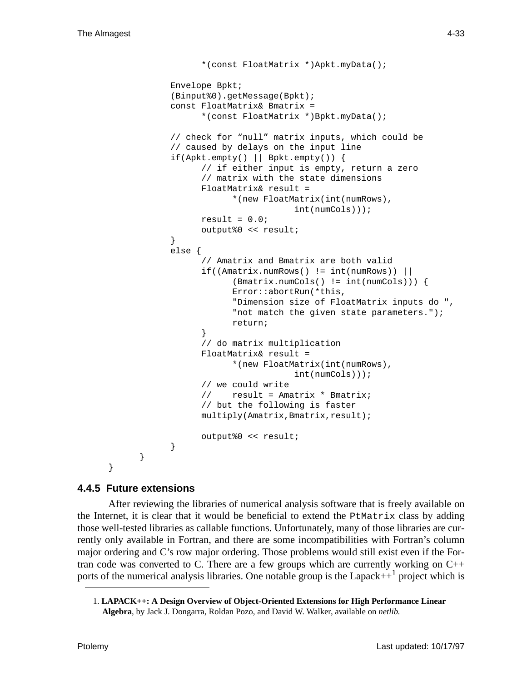```
*(const FloatMatrix *)Apkt.myData();
      Envelope Bpkt;
      (Binput%0).getMessage(Bpkt);
      const FloatMatrix& Bmatrix =
            *(const FloatMatrix *)Bpkt.myData();
      // check for "null" matrix inputs, which could be
      // caused by delays on the input line
      if(Apkt.empty() || Bpkt.empty()) {
            // if either input is empty, return a zero
            // matrix with the state dimensions
            FloatMatrix& result =
                  *(new FloatMatrix(int(numRows),
                              int(numCols)));
            result = 0.0;
            output%0 << result;
      }
      else {
            // Amatrix and Bmatrix are both valid
            if((Amatrix.numRows() != int(numRows)) ||
                  (Bmatrix.numCols() != int(numCols))) {
                  Error::abortRun(*this,
                  "Dimension size of FloatMatrix inputs do ",
                  "not match the given state parameters.");
                  return;
            }
            // do matrix multiplication
            FloatMatrix& result =
                  *(new FloatMatrix(int(numRows),
                              int(numCols)));
            // we could write
            // result = Amatrix * Bmatrix;
            // but the following is faster
            multiply(Amatrix,Bmatrix,result);
            output%0 << result;
      }
}
```
#### **4.4.5 Future extensions**

}

After reviewing the libraries of numerical analysis software that is freely available on the Internet, it is clear that it would be beneficial to extend the PtMatrix class by adding those well-tested libraries as callable functions. Unfortunately, many of those libraries are currently only available in Fortran, and there are some incompatibilities with Fortran's column major ordering and C's row major ordering. Those problems would still exist even if the Fortran code was converted to C. There are a few groups which are currently working on  $C_{++}$ ports of the numerical analysis libraries. One notable group is the Lapack $++$ <sup>1</sup> project which is

<sup>1.</sup> **LAPACK++: A Design Overview of Object-Oriented Extensions for High Performance Linear Algebra**, by Jack J. Dongarra, Roldan Pozo, and David W. Walker, available on *netlib*.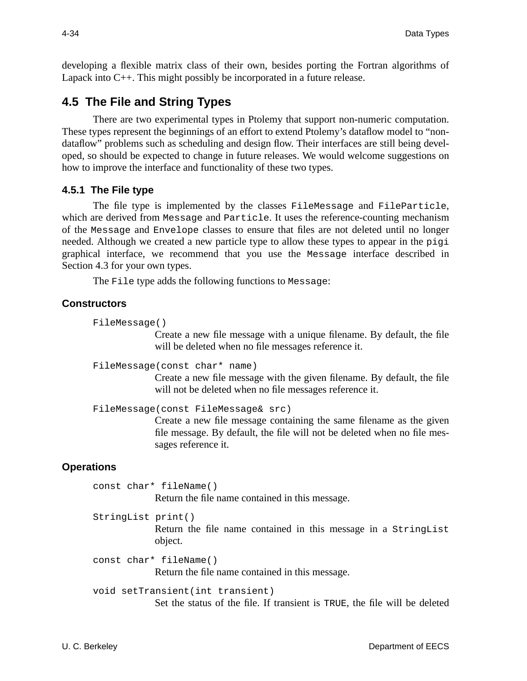developing a flexible matrix class of their own, besides porting the Fortran algorithms of Lapack into C++. This might possibly be incorporated in a future release.

# **4.5 The File and String Types**

There are two experimental types in Ptolemy that support non-numeric computation. These types represent the beginnings of an effort to extend Ptolemy's dataflow model to "nondataflow" problems such as scheduling and design flow. Their interfaces are still being developed, so should be expected to change in future releases. We would welcome suggestions on how to improve the interface and functionality of these two types.

#### **4.5.1 The File type**

The file type is implemented by the classes FileMessage and FileParticle, which are derived from Message and Particle. It uses the reference-counting mechanism of the Message and Envelope classes to ensure that files are not deleted until no longer needed. Although we created a new particle type to allow these types to appear in the pigi graphical interface, we recommend that you use the Message interface described in Section 4.3 for your own types.

The File type adds the following functions to Message:

#### **Constructors**

```
FileMessage()
```
Create a new file message with a unique filename. By default, the file will be deleted when no file messages reference it.

```
FileMessage(const char* name)
```
Create a new file message with the given filename. By default, the file will not be deleted when no file messages reference it.

```
FileMessage(const FileMessage& src)
```
Create a new file message containing the same filename as the given file message. By default, the file will not be deleted when no file messages reference it.

## **Operations**

const char\* fileName() Return the file name contained in this message.

StringList print()

Return the file name contained in this message in a StringList object.

```
const char* fileName()
             Return the file name contained in this message.
```

```
void setTransient(int transient)
```
Set the status of the file. If transient is TRUE, the file will be deleted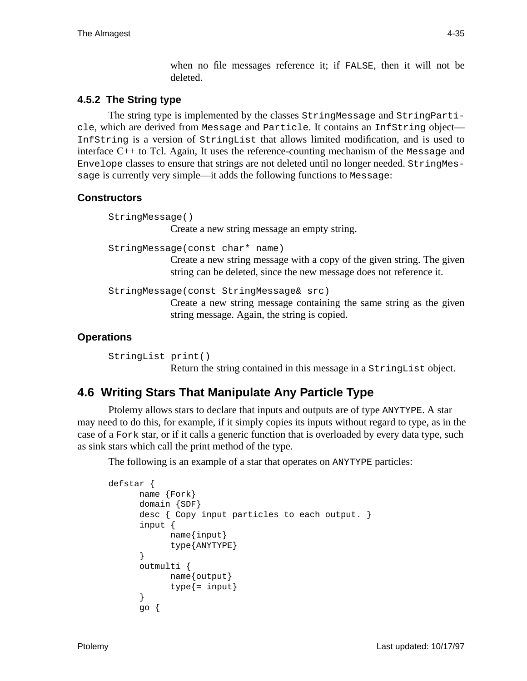when no file messages reference it; if FALSE, then it will not be deleted.

## **4.5.2 The String type**

The string type is implemented by the classes StringMessage and StringParticle, which are derived from Message and Particle. It contains an InfString object— InfString is a version of StringList that allows limited modification, and is used to interface C++ to Tcl. Again, It uses the reference-counting mechanism of the Message and Envelope classes to ensure that strings are not deleted until no longer needed. StringMessage is currently very simple—it adds the following functions to Message:

# **Constructors**

```
StringMessage()
             Create a new string message an empty string.
StringMessage(const char* name)
             Create a new string message with a copy of the given string. The given
             string can be deleted, since the new message does not reference it.
StringMessage(const StringMessage& src)
             Create a new string message containing the same string as the given
             string message. Again, the string is copied.
```
## **Operations**

StringList print() Return the string contained in this message in a StringList object.

# **4.6 Writing Stars That Manipulate Any Particle Type**

Ptolemy allows stars to declare that inputs and outputs are of type ANYTYPE. A star may need to do this, for example, if it simply copies its inputs without regard to type, as in the case of a Fork star, or if it calls a generic function that is overloaded by every data type, such as sink stars which call the print method of the type.

The following is an example of a star that operates on ANYTYPE particles:

```
defstar {
      name {Fork}
      domain {SDF}
      desc { Copy input particles to each output. }
      input {
            name{input}
            type{ANYTYPE}
      }
      outmulti {
            name{output}
            type\{=\text{input}\}}
      go {
```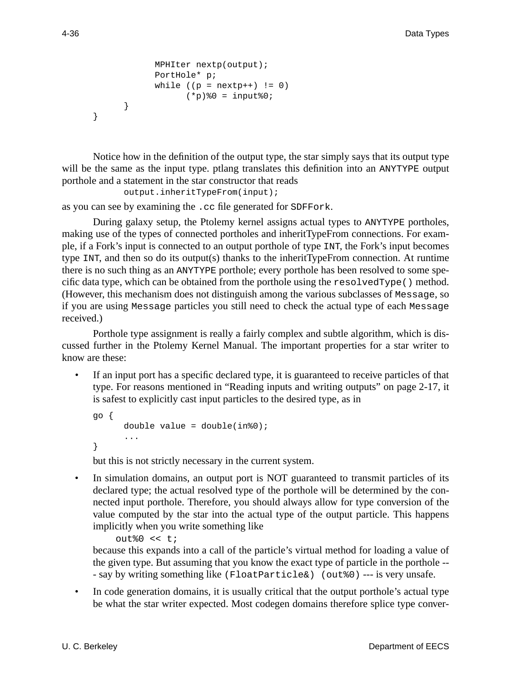```
MPHIter nextp(output);
      PortHole* p;
      while ((p = nextp++) != 0)(*p) %0 = input %0;
}
```
Notice how in the definition of the output type, the star simply says that its output type will be the same as the input type. ptlang translates this definition into an ANYTYPE output porthole and a statement in the star constructor that reads

output.inheritTypeFrom(input);

as you can see by examining the .cc file generated for SDFFork.

During galaxy setup, the Ptolemy kernel assigns actual types to ANYTYPE portholes, making use of the types of connected portholes and inheritTypeFrom connections. For example, if a Fork's input is connected to an output porthole of type INT, the Fork's input becomes type INT, and then so do its output(s) thanks to the inheritTypeFrom connection. At runtime there is no such thing as an ANYTYPE porthole; every porthole has been resolved to some specific data type, which can be obtained from the porthole using the resolvedType() method. (However, this mechanism does not distinguish among the various subclasses of Message, so if you are using Message particles you still need to check the actual type of each Message received.)

Porthole type assignment is really a fairly complex and subtle algorithm, which is discussed further in the Ptolemy Kernel Manual. The important properties for a star writer to know are these:

 • If an input port has a specific declared type, it is guaranteed to receive particles of that type. For reasons mentioned in "Reading inputs and writing outputs" on page 2-17, it is safest to explicitly cast input particles to the desired type, as in

```
go {
      double value = double(in80);...
}
```
but this is not strictly necessary in the current system.

• In simulation domains, an output port is NOT guaranteed to transmit particles of its declared type; the actual resolved type of the porthole will be determined by the connected input porthole. Therefore, you should always allow for type conversion of the value computed by the star into the actual type of the output particle. This happens implicitly when you write something like

```
out0 << t;
```
because this expands into a call of the particle's virtual method for loading a value of the given type. But assuming that you know the exact type of particle in the porthole -- - say by writing something like (FloatParticle&) (out%0) --- is very unsafe.

• In code generation domains, it is usually critical that the output porthole's actual type be what the star writer expected. Most codegen domains therefore splice type conver-

}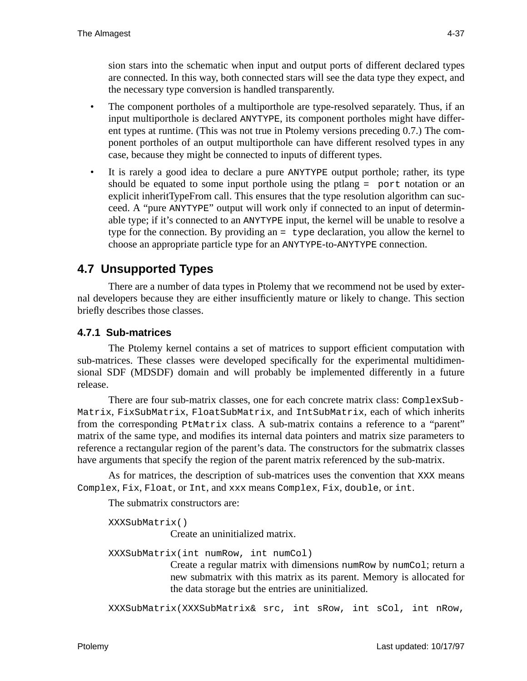sion stars into the schematic when input and output ports of different declared types are connected. In this way, both connected stars will see the data type they expect, and the necessary type conversion is handled transparently.

- The component portholes of a multiporthole are type-resolved separately. Thus, if an input multiporthole is declared ANYTYPE, its component portholes might have different types at runtime. (This was not true in Ptolemy versions preceding 0.7.) The component portholes of an output multiporthole can have different resolved types in any case, because they might be connected to inputs of different types.
- It is rarely a good idea to declare a pure ANYTYPE output porthole; rather, its type should be equated to some input porthole using the ptlang = port notation or an explicit inheritTypeFrom call. This ensures that the type resolution algorithm can succeed. A "pure ANYTYPE" output will work only if connected to an input of determinable type; if it's connected to an ANYTYPE input, the kernel will be unable to resolve a type for the connection. By providing an  $=$  type declaration, you allow the kernel to choose an appropriate particle type for an ANYTYPE-to-ANYTYPE connection.

# **4.7 Unsupported Types**

There are a number of data types in Ptolemy that we recommend not be used by external developers because they are either insufficiently mature or likely to change. This section briefly describes those classes.

# **4.7.1 Sub-matrices**

The Ptolemy kernel contains a set of matrices to support efficient computation with sub-matrices. These classes were developed specifically for the experimental multidimensional SDF (MDSDF) domain and will probably be implemented differently in a future release.

There are four sub-matrix classes, one for each concrete matrix class: ComplexSub-Matrix, FixSubMatrix, FloatSubMatrix, and IntSubMatrix, each of which inherits from the corresponding PtMatrix class. A sub-matrix contains a reference to a "parent" matrix of the same type, and modifies its internal data pointers and matrix size parameters to reference a rectangular region of the parent's data. The constructors for the submatrix classes have arguments that specify the region of the parent matrix referenced by the sub-matrix.

As for matrices, the description of sub-matrices uses the convention that XXX means Complex, Fix, Float, or Int, and xxx means Complex, Fix, double, or int.

The submatrix constructors are:

XXXSubMatrix()

Create an uninitialized matrix.

XXXSubMatrix(int numRow, int numCol)

Create a regular matrix with dimensions numRow by numCol; return a new submatrix with this matrix as its parent. Memory is allocated for the data storage but the entries are uninitialized.

XXXSubMatrix(XXXSubMatrix& src, int sRow, int sCol, int nRow,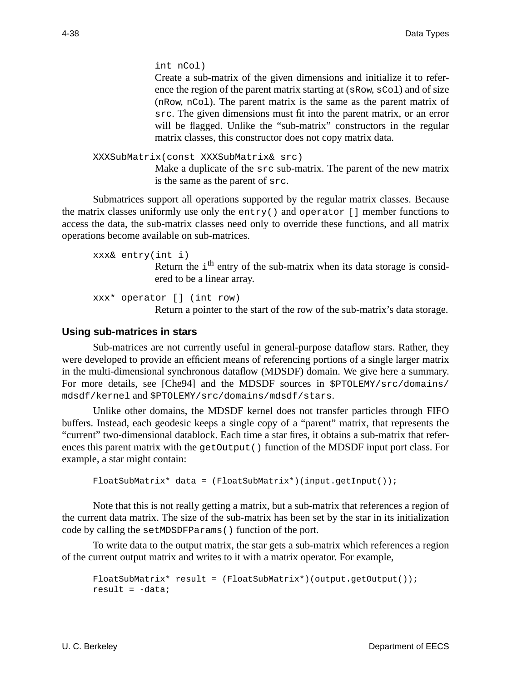int nCol)

Create a sub-matrix of the given dimensions and initialize it to reference the region of the parent matrix starting at (sRow, sCol) and of size (nRow, nCol). The parent matrix is the same as the parent matrix of src. The given dimensions must fit into the parent matrix, or an error will be flagged. Unlike the "sub-matrix" constructors in the regular matrix classes, this constructor does not copy matrix data.

```
XXXSubMatrix(const XXXSubMatrix& src)
```
Make a duplicate of the src sub-matrix. The parent of the new matrix is the same as the parent of src.

Submatrices support all operations supported by the regular matrix classes. Because the matrix classes uniformly use only the entry() and operator [] member functions to access the data, the sub-matrix classes need only to override these functions, and all matrix operations become available on sub-matrices.

```
xxx& entry(int i)
               Return the i<sup>th</sup> entry of the sub-matrix when its data storage is consid-
               ered to be a linear array.
```

```
xxx* operator [] (int row)
              Return a pointer to the start of the row of the sub-matrix's data storage.
```
#### **Using sub-matrices in stars**

Sub-matrices are not currently useful in general-purpose dataflow stars. Rather, they were developed to provide an efficient means of referencing portions of a single larger matrix in the multi-dimensional synchronous dataflow (MDSDF) domain. We give here a summary. For more details, see [Che94] and the MDSDF sources in \$PTOLEMY/src/domains/ mdsdf/kernel and \$PTOLEMY/src/domains/mdsdf/stars.

Unlike other domains, the MDSDF kernel does not transfer particles through FIFO buffers. Instead, each geodesic keeps a single copy of a "parent" matrix, that represents the "current" two-dimensional datablock. Each time a star fires, it obtains a sub-matrix that references this parent matrix with the getOutput() function of the MDSDF input port class. For example, a star might contain:

```
FloatSubMatrix<sup>*</sup> data = (FloatSubMatrix<sup>*</sup>)(input.getInput());
```
Note that this is not really getting a matrix, but a sub-matrix that references a region of the current data matrix. The size of the sub-matrix has been set by the star in its initialization code by calling the setMDSDFParams() function of the port.

To write data to the output matrix, the star gets a sub-matrix which references a region of the current output matrix and writes to it with a matrix operator. For example,

```
FloatSubMatrix* result = (FloatSubMatrix*)(output.qetOutput());
result = -data;
```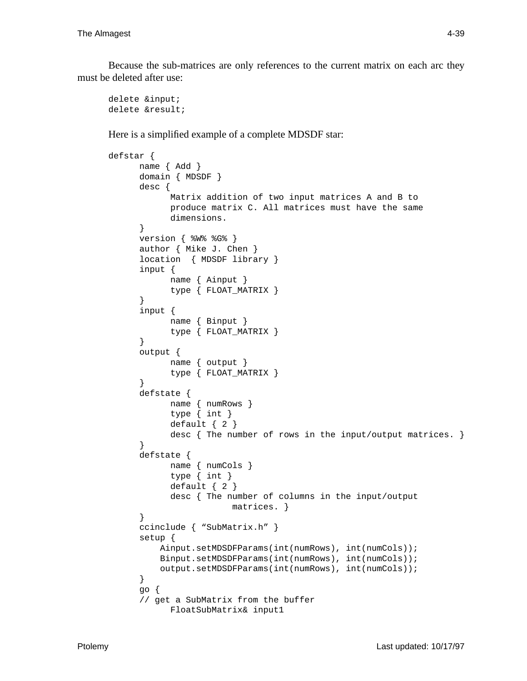Because the sub-matrices are only references to the current matrix on each arc they must be deleted after use:

delete &input; delete &result;

Here is a simplified example of a complete MDSDF star:

```
defstar {
      name { Add }
      domain { MDSDF }
      desc {
            Matrix addition of two input matrices A and B to
            produce matrix C. All matrices must have the same
            dimensions.
      }
      version { %W% %G% }
      author { Mike J. Chen }
      location { MDSDF library }
      input {
            name { Ainput }
            type { FLOAT_MATRIX }
      }
      input {
            name { Binput }
            type { FLOAT_MATRIX }
      }
      output {
            name { output }
            type { FLOAT_MATRIX }
      }
      defstate {
            name { numRows }
            type { int }
            default \{ 2 \}desc { The number of rows in the input/output matrices. }
      }
      defstate {
            name { numCols }
            type { int }
            default { 2 }
            desc { The number of columns in the input/output
                        matrices. }
      }
      ccinclude { "SubMatrix.h" }
      setup {
           Ainput.setMDSDFParams(int(numRows), int(numCols));
           Binput.setMDSDFParams(int(numRows), int(numCols));
           output.setMDSDFParams(int(numRows), int(numCols));
      }
      go {
      // get a SubMatrix from the buffer
            FloatSubMatrix& input1
```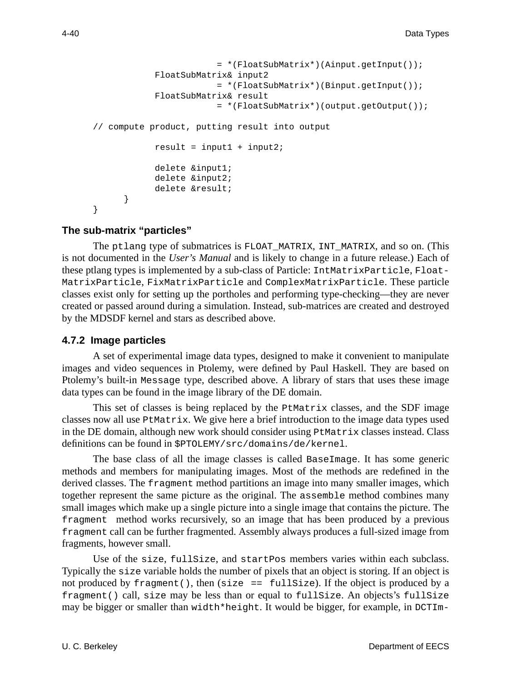```
= *(FloatSubMatrix*)(Ainput.getInput());
            FloatSubMatrix& input2
                        = *(FloatSubMatrix*)(Binput.getInput());
            FloatSubMatrix& result
                        = *(FloatSubMatrix*)(output.getOutput());
// compute product, putting result into output
            result = input1 + input2;
            delete &input1;
            delete &input2;
            delete &result;
      }
}
```
## **The sub-matrix "particles"**

The ptlang type of submatrices is FLOAT\_MATRIX, INT\_MATRIX, and so on. (This is not documented in the *User's Manual* and is likely to change in a future release.) Each of these ptlang types is implemented by a sub-class of Particle: IntMatrixParticle, Float-MatrixParticle, FixMatrixParticle and ComplexMatrixParticle. These particle classes exist only for setting up the portholes and performing type-checking—they are never created or passed around during a simulation. Instead, sub-matrices are created and destroyed by the MDSDF kernel and stars as described above.

## **4.7.2 Image particles**

A set of experimental image data types, designed to make it convenient to manipulate images and video sequences in Ptolemy, were defined by Paul Haskell. They are based on Ptolemy's built-in Message type, described above. A library of stars that uses these image data types can be found in the image library of the DE domain.

This set of classes is being replaced by the  $P$ tMatrix classes, and the SDF image classes now all use PtMatrix. We give here a brief introduction to the image data types used in the DE domain, although new work should consider using  $P$ tMatrix classes instead. Class definitions can be found in \$PTOLEMY/src/domains/de/kernel.

The base class of all the image classes is called BaseImage. It has some generic methods and members for manipulating images. Most of the methods are redefined in the derived classes. The fragment method partitions an image into many smaller images, which together represent the same picture as the original. The assemble method combines many small images which make up a single picture into a single image that contains the picture. The fragment method works recursively, so an image that has been produced by a previous fragment call can be further fragmented. Assembly always produces a full-sized image from fragments, however small.

Use of the size, full Size, and start Pos members varies within each subclass. Typically the size variable holds the number of pixels that an object is storing. If an object is not produced by fragment(), then (size == fullSize). If the object is produced by a fragment() call, size may be less than or equal to fullSize. An objects's fullSize may be bigger or smaller than width\*height. It would be bigger, for example, in DCTIm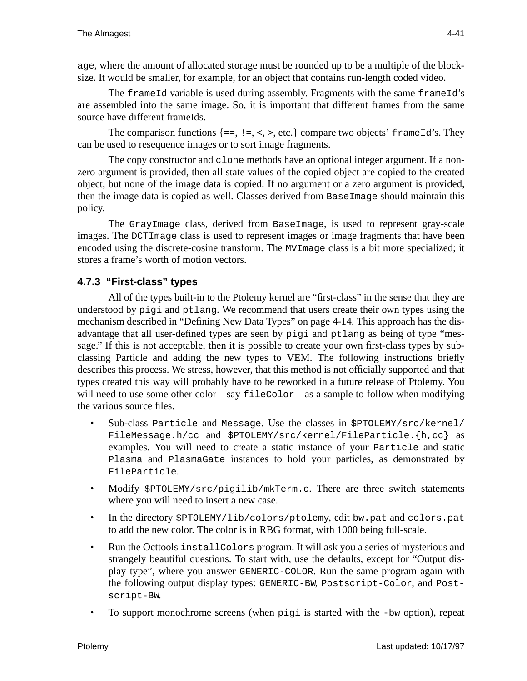age, where the amount of allocated storage must be rounded up to be a multiple of the blocksize. It would be smaller, for example, for an object that contains run-length coded video.

The frame Id variable is used during assembly. Fragments with the same frame Id's are assembled into the same image. So, it is important that different frames from the same source have different frameIds.

The comparison functions  $\{=\,,\,:\,\,=\,\,\leq\,\,>\,\,$ , etc.  $\}$  compare two objects' frameld's. They can be used to resequence images or to sort image fragments.

The copy constructor and clone methods have an optional integer argument. If a nonzero argument is provided, then all state values of the copied object are copied to the created object, but none of the image data is copied. If no argument or a zero argument is provided, then the image data is copied as well. Classes derived from BaseImage should maintain this policy.

The GrayImage class, derived from BaseImage, is used to represent gray-scale images. The DCTImage class is used to represent images or image fragments that have been encoded using the discrete-cosine transform. The MVImage class is a bit more specialized; it stores a frame's worth of motion vectors.

# **4.7.3 "First-class" types**

All of the types built-in to the Ptolemy kernel are "first-class" in the sense that they are understood by pigi and ptlang. We recommend that users create their own types using the mechanism described in "Defining New Data Types" on page 4-14. This approach has the disadvantage that all user-defined types are seen by pigi and ptlang as being of type "message." If this is not acceptable, then it is possible to create your own first-class types by subclassing Particle and adding the new types to VEM. The following instructions briefly describes this process. We stress, however, that this method is not officially supported and that types created this way will probably have to be reworked in a future release of Ptolemy. You will need to use some other color—say fileColor—as a sample to follow when modifying the various source files.

- Sub-class Particle and Message. Use the classes in \$PTOLEMY/src/kernel/ FileMessage.h/cc and \$PTOLEMY/src/kernel/FileParticle.{h,cc} as examples. You will need to create a static instance of your Particle and static Plasma and PlasmaGate instances to hold your particles, as demonstrated by FileParticle.
- Modify \$PTOLEMY/src/pigilib/mkTerm.c. There are three switch statements where you will need to insert a new case.
- In the directory \$PTOLEMY/lib/colors/ptolemy, edit bw.pat and colors.pat to add the new color. The color is in RBG format, with 1000 being full-scale.
- Run the Octtools install Colors program. It will ask you a series of mysterious and strangely beautiful questions. To start with, use the defaults, except for "Output display type", where you answer GENERIC-COLOR. Run the same program again with the following output display types: GENERIC-BW, Postscript-Color, and Postscript-BW.
- To support monochrome screens (when pigi is started with the -bw option), repeat